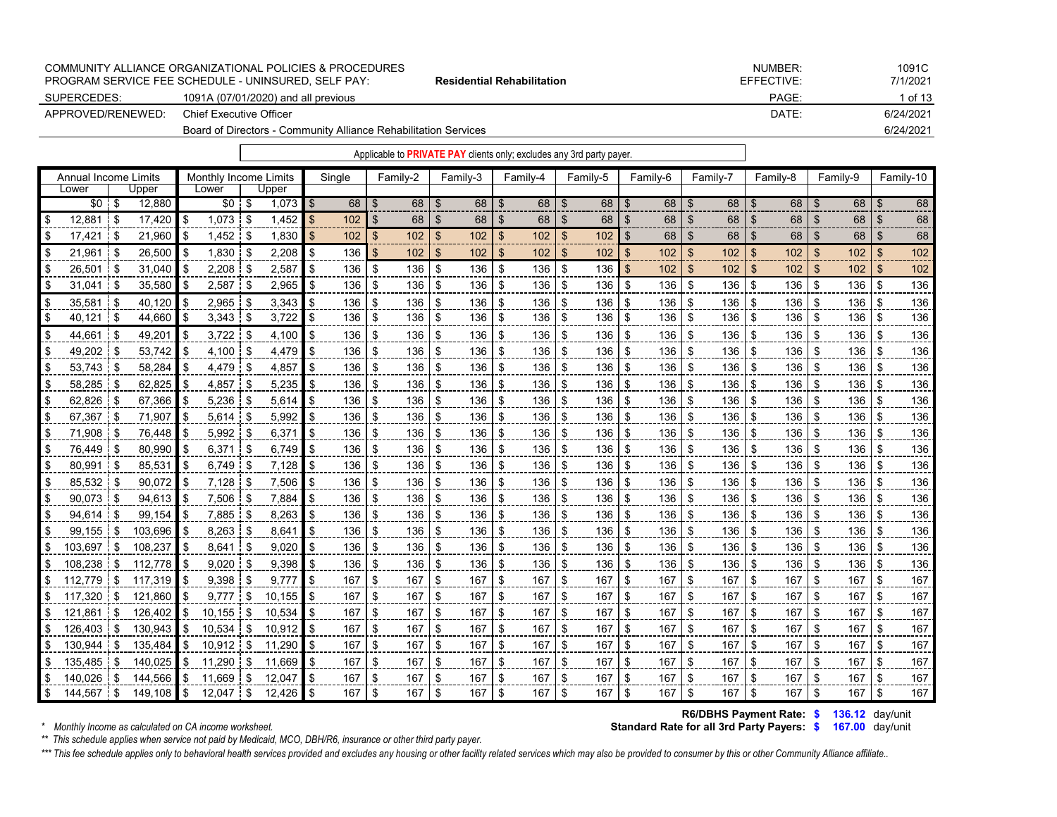|                   | PROGRAM SERVICE FEE SCHEDULE - UNINSURED. SELF PAY:             | <b>Residential Rehabilitation</b> | EFFECTIVE: | 7/1/2021  |
|-------------------|-----------------------------------------------------------------|-----------------------------------|------------|-----------|
| SUPERCEDES:       | 1091A (07/01/2020) and all previous                             |                                   | PAGE:      | 1 of 13   |
| APPROVED/RENEWED: | Chief Executive Officer                                         |                                   | DATE:      | 6/24/2021 |
|                   | Board of Directors - Community Alliance Rehabilitation Services |                                   |            | 6/24/2021 |

| Annual Income Limits |      |         | <b>Monthly Income Limits</b> |          |            |      | Single |                | Family-2 |      | Family-3 |                           | Family-4 |                | Family-5 |                | Family-6         | Family-7       |     |     | Family-8 | Family-9  |                | Family-10 |
|----------------------|------|---------|------------------------------|----------|------------|------|--------|----------------|----------|------|----------|---------------------------|----------|----------------|----------|----------------|------------------|----------------|-----|-----|----------|-----------|----------------|-----------|
| Lower                |      | Upper   | Lower                        |          | Upper      |      |        |                |          |      |          |                           |          |                |          |                |                  |                |     |     |          |           |                |           |
| $$0$ \$              |      | 12,880  | $$0 \quad $$                 |          | $1,073$ \$ |      | 68     | \$             | 68       | - \$ | 68       | \$                        | 68       | $\mathfrak{L}$ | 68       | -\$            | 68               | \$             | 68  | \$  | 68       | \$<br>68  | $\mathfrak{L}$ | 68        |
| 12,881               | l \$ | 17,420  | \$<br>1,073                  | - \$     | 1,452      |      | 102    | \$             | 68       | £.   | 68       | ß.                        | 68       | \$             | 68       | \$             | 68               | \$             | 68  |     | 68       | \$<br>68  | \$             | 68        |
| 17,421               | \$   | 21,960  | \$<br>1,452                  | -\$      | 1,830      | \$   | 102    | $\mathfrak{L}$ | 102      | \$   | 102      | $\mathfrak{L}$            | 102      | $\mathfrak{L}$ | 102      | \$             | 68               | \$             | 68  | \$. | 68       | \$<br>68  | $\mathfrak{L}$ | 68        |
| 21,961               | \$   | 26,500  | \$<br>1,830                  | -\$      | 2,208      |      | 136    | \$             | 102      | \$   | 102      | $\boldsymbol{\mathsf{S}}$ | 102      | \$             | 102      | $\mathfrak{F}$ | 102              | \$             | 102 | \$  | 102      | \$<br>102 | $\mathfrak{S}$ | 102       |
| \$<br>26,501         | l \$ | 31,040  | \$<br>2,208                  | -\$      | 2,587      |      | 136    | \$             | 136      | -\$  | 136      | \$                        | 136      | \$             | 136      | \$             | 102 <sub>2</sub> | $\mathfrak{S}$ | 102 | \$  | 102      | \$<br>102 | \$             | 102       |
| \$<br>31,041         | -\$  | 35,580  | \$<br>2,587                  | -\$      | 2,965      |      | 136    | -\$            | 136      | \$   | 136      | \$                        | 136      | \$             | 136      | \$             | 136              | - \$           | 136 | \$  | 136      | \$<br>136 | -\$            | 136       |
| 35,581               | \$   | 40,120  | \$<br>2,965                  | \$       | 3,343      |      | 136    | \$             | 136      | \$   | 136      | \$                        | 136      | \$             | 136      | \$             | 136              | \$             | 136 | \$  | 136      | \$<br>136 | \$             | 136       |
| 40,121               | \$   | 44,660  | \$<br>$3,343$ \$             |          | 3,722      | \$   | 136    | \$             | 136      | \$   | 136      | \$                        | 136      | \$             | 136      | \$             | 136              | \$             | 136 | \$  | 136      | \$<br>136 | \$             | 136       |
| 44,661               | i \$ | 49,201  | \$<br>$3,722$ \$             |          | 4,100      |      | 136    | \$             | 136      | \$   | 136      | \$                        | 136      | \$             | 136      | \$             | 136              | \$             | 136 | \$  | 136      | \$<br>136 | \$             | 136       |
| 49.202               | -\$  | 53,742  | \$<br>4.100                  | -\$      | 4.479      | \$   | 136    | \$             | 136      | \$   | 136      | \$                        | 136      | \$             | 136      | \$             | 136              | \$             | 136 | \$  | 136      | \$<br>136 | \$             | 136       |
| 53,743               | \$   | 58,284  | \$<br>4,479                  | \$       | 4,857      |      | 136    | \$             | 136      | \$   | 136      | \$                        | 136      | \$             | 136      | \$             | 136              | \$             | 136 | \$  | 136      | \$<br>136 | \$             | 136       |
| 58,285               | -\$  | 62,825  | \$<br>4,857                  | -\$      | 5,235      |      | 136    | \$             | 136      | \$   | 136      | \$                        | 136      | \$             | 136      | \$             | 136              | \$             | 136 | \$  | 136      | \$<br>136 | \$             | 136       |
| 62,826               | - \$ | 67,366  | \$<br>5,236                  | -\$      | 5,614      |      | 136    | \$             | 136      | \$   | 136      | \$                        | 136      | \$             | 136      | \$             | 136              | -\$            | 136 | \$  | 136      | \$<br>136 | \$             | 136       |
| 67.367               | \$   | 71.907  | \$<br>5.614                  | -\$      | 5,992      | \$   | 136    | \$             | 136      | \$   | 136      | \$                        | 136      | \$             | 136      | \$             | 136              | \$             | 136 | \$  | 136      | \$<br>136 | \$             | 136       |
| 71,908               | -\$  | 76,448  | \$<br>5,992                  | \$       | 6,371      |      | 136    | \$             | 136      | -\$  | 136      | \$                        | 136      | \$             | 136      | \$             | 136              | -\$            | 136 | \$  | 136      | \$<br>136 | \$             | 136       |
| 76,449               | -\$  | 80,990  | \$<br>6,371                  | \$       | 6,749      |      | 136    | \$             | 136      | \$   | 136      | \$                        | 136      | \$             | 136      | \$             | 136              | \$             | 136 | \$  | 136      | \$<br>136 | \$             | 136       |
| 80.991               | -\$  | 85.531  | \$<br>6.749                  | -\$      | 7.128      | \$   | 136    | \$             | 136      | -\$  | 136      | \$                        | 136      | \$             | 136      | \$             | 136              | \$             | 136 | \$  | 136      | \$<br>136 | \$             | 136       |
| 85,532               | -\$  | 90,072  | \$<br>7,128                  | -\$      | 7,506      |      | 136    | \$             | 136      | \$   | 136      | \$                        | 136      | \$             | 136      | \$             | 136              | \$             | 136 | \$  | 136      | \$<br>136 | \$             | 136       |
| 90,073               | -\$  | 94,613  | \$<br>7,506                  | -\$      | 7.884      |      | 136    | \$             | 136      | -\$  | 136      | \$                        | 136      | \$             | 136      | \$             | 136              | \$             | 136 | \$  | 136      | \$<br>136 | -\$            | 136       |
| 94,614               | -\$  | 99.154  | \$<br>7.885                  | -\$      | 8,263      |      | 136    | \$             | 136      | \$   | 136      | \$                        | 136      | \$             | 136      | \$             | 136              | \$             | 136 | \$  | 136      | \$<br>136 | \$             | 136       |
| 99,155               | -\$  | 103,696 | \$<br>8,263                  | <b>S</b> | 8,641      |      | 136    | \$             | 136      | \$   | 136      | \$                        | 136      | \$             | 136      | \$             | 136              | \$             | 136 | \$  | 136      | \$<br>136 | -\$            | 136       |
| 103,697              | \$   | 108,237 | \$<br>8,641                  | \$.      | 9,020      |      | 136    | \$             | 136      | \$   | 136      | \$                        | 136      | \$             | 136      | \$             | 136              | -\$            | 136 | \$  | 136      | \$<br>136 | \$             | 136       |
| 108,238              | \$   | 112,778 | \$<br>9,020                  | -\$      | 9,398      |      | 136    | \$             | 136      | \$   | 136      | \$                        | 136      | \$             | 136      | \$             | 136              | \$             | 136 | \$  | 136      | \$<br>136 | \$             | 136       |
| 112.779              | \$   | 117.319 | \$<br>9.398                  | -\$      | 9.777      |      | 167    | \$             | 167      | \$   | 167      | \$                        | 167      | \$             | 167      | \$             | 167              | \$             | 167 | \$  | 167      | \$<br>167 | \$             | 167       |
| 117,320              | \$   | 121,860 | \$<br>9,777                  | \$       | 10,155     | \$   | 167    | \$             | 167      | \$   | 167      | \$                        | 167      | \$             | 167      | \$             | 167              | \$             | 167 | \$  | 167      | \$<br>167 | \$             | 167       |
| 121,861              | \$   | 126,402 | \$<br>10.155                 | \$       | 10.534     |      | 167    | \$             | 167      | \$   | 167      | \$                        | 167      | \$             | 167      | \$             | 167              | \$             | 167 | \$  | 167      | \$<br>167 | \$             | 167       |
| 126,403              | \$   | 130,943 | \$<br>10.534                 | \$       | 10.912     |      | 167    | \$             | 167      | \$   | 167      | \$                        | 167      | \$             | 167      | \$             | 167              | \$             | 167 | \$  | 167      | \$<br>167 | \$             | 167       |
| 130,944              | \$   | 135,484 | \$<br>10,912                 | \$       | 11,290     | \$   | 167    | \$             | 167      | \$   | 167      | \$                        | 167      | \$             | 167      | \$             | 167              | -\$            | 167 | \$  | 167      | \$<br>167 | \$             | 167       |
| 135,485              | \$   | 140,025 | \$<br>11,290                 | \$       | 11,669     | ደ    | 167    | \$             | 167      | \$   | 167      | \$                        | 167      | \$             | 167      | \$             | 167              | \$             | 167 | \$  | 167      | \$<br>167 | \$             | 167       |
| 140.026              | \$   | 144.566 | \$<br>11.669                 | \$       | 12.047     |      | 167    | \$             | 167      | \$   | 167      | \$                        | 167      | \$             | 167      | \$             | 167              | \$             | 167 | \$  | 167      | \$<br>167 | \$             | 167       |
| 144,567              | \$   | 149.108 | \$<br>12.047                 | \$       | 12.426     | l \$ | 167    | \$             | 167      | \$   | 167      | \$                        | 167      | \$             | 167      | \$             | 167              | \$             | 167 | \$  | 167      | \$<br>167 | \$             | 167       |

 $*$  Monthly Income as calculated on CA income worksheet.

**R6/DBHS Payment Rate: \$ 136.12 day/unit Standard Rate for all 3rd Party Payers: \$ 167.00** day/unit

*\*\* This schedule applies when service not paid by Medicaid, MCO, DBH/R6, insurance or other third party payer.*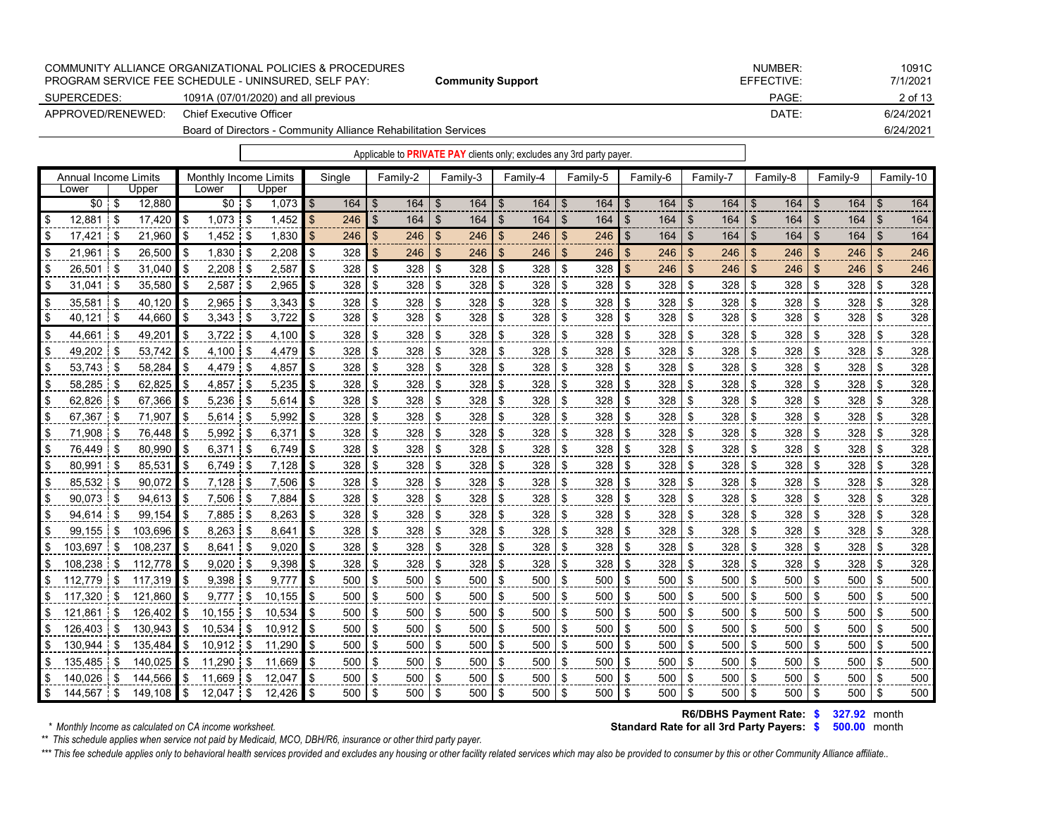|                   | COMMUNITY ALLIANCE ORGANIZATIONAL POLICIES & PROCEDURES         |                          | NUMBER:    | 1091C     |
|-------------------|-----------------------------------------------------------------|--------------------------|------------|-----------|
|                   | PROGRAM SERVICE FEE SCHEDULE - UNINSURED. SELF PAY:             | <b>Community Support</b> | EFFECTIVE: | 7/1/2021  |
| SUPERCEDES:       | 1091A (07/01/2020) and all previous                             |                          | PAGE:      | 2 of 13   |
| APPROVED/RENEWED: | Chief Executive Officer                                         |                          | DATE:      | 6/24/2021 |
|                   | Board of Directors - Community Alliance Rehabilitation Services |                          |            | 6/24/2021 |

|                             |               |            |      |                       |     |            |           |                |          |               |            |     | Applicable to PRIVATE PAY clients only; excludes any 3rd party payer. |                |          |          |     |                |          |                |          |     |          |                |           |
|-----------------------------|---------------|------------|------|-----------------------|-----|------------|-----------|----------------|----------|---------------|------------|-----|-----------------------------------------------------------------------|----------------|----------|----------|-----|----------------|----------|----------------|----------|-----|----------|----------------|-----------|
| <b>Annual Income Limits</b> |               |            |      | Monthly Income Limits |     |            | Sinale    |                | Family-2 |               | Family-3   |     | Family-4                                                              |                | Family-5 | Family-6 |     |                | Family-7 |                | Family-8 |     | Family-9 |                | Family-10 |
| Lower                       |               | Upper      |      | Lower                 |     | Upper      |           |                |          |               |            |     |                                                                       |                |          |          |     |                |          |                |          |     |          |                |           |
| $$0$ \$                     |               | 12,880     |      | $$0 \t$$              |     | $1,073$ \$ | 164       | \$             | 164      | $\sqrt[6]{3}$ | $164$ \ \$ |     | 164                                                                   | $\mathfrak{S}$ | 164      | -\$      | 164 | $\mathfrak{S}$ | 164      | l \$           | 164      | -\$ | 164      | $\mathfrak{s}$ | 164       |
| 12,881                      | \$            | 17,420     | \$   | $1,073$ \$            |     | 1,452      | \$<br>246 | \$             | 164      | \$            | 164        | \$  | 164                                                                   | \$             | 164      | \$       | 164 | ß.             | 164      | \$             | 164      | \$  | 164      | \$             | 164       |
| 17,421                      | \$            | 21,960     | l \$ | 1,452                 | \$  | 1,830      | \$<br>246 | \$             | 246      | \$            | 246        | \$  | 246                                                                   | \$             | 246      | \$       | 164 | \$             | 164      | \$             | 164      | \$  | 164      | \$             | 164       |
| 21.961                      | \$            | 26.500     | \$   | 1.830                 | \$  | 2,208      | \$<br>328 | $\mathfrak{L}$ | 246      | \$            | 246        | \$  | 246                                                                   | $\mathfrak{L}$ | 246      | \$       | 246 | $\mathbf{f}$   | 246      | $\mathfrak{L}$ | 246      | -\$ | 246      | \$             | 246       |
| 26,501                      | \$            | 31,040     |      | 2,208                 | -\$ | 2,587      | \$<br>328 | \$             | 328      | \$            | 328        | \$  | 328                                                                   | \$             | 328      | \$       | 246 | \$.            | 246      | \$             | 246      | -\$ | 246      | \$             | 246       |
| 31,041                      | \$            | 35,580     | \$   | 2,587                 | -\$ | 2,965      | \$<br>328 | \$             | 328      | \$            | 328        | \$  | 328                                                                   | \$             | 328      | \$       | 328 | \$             | 328      | \$             | 328      | -\$ | 328      | \$             | 328       |
| 35.581                      | \$            | 40.120     | \$   | 2,965                 | \$  | 3,343      | 328       | \$             | 328      | \$            | 328        | \$. | 328                                                                   | \$             | 328      | \$       | 328 | \$             | 328      | \$             | 328      | \$  | 328      | \$             | 328       |
| 40,121                      | <b>S</b>      | 44,660     | \$   | 3,343                 | \$  | 3,722      | \$<br>328 | \$             | 328      | \$            | 328        | \$  | 328                                                                   | \$             | 328      | \$       | 328 | \$             | 328      | \$             | 328      | \$  | 328      | \$             | 328       |
| 44,661                      | - \$          | 49,201     | \$   | $3,722$ \$            |     | 4,100      | \$<br>328 | \$             | 328      | \$            | 328        | \$  | 328                                                                   | \$             | 328      | \$       | 328 |                | 328      | \$             | 328      | \$  | 328      | \$             | 328       |
| 49,202                      | $\frac{1}{3}$ | 53,742     | \$   | 4,100                 | \$  | 4,479      | \$<br>328 | \$             | 328      | \$            | 328        | \$  | 328                                                                   | \$             | 328      | \$       | 328 | \$             | 328      | \$             | 328      | \$  | 328      | \$             | 328       |
| 53,743                      | <b>S</b>      | 58,284     |      | 4,479                 | \$  | 4,857      | 328       | \$             | 328      | \$            | 328        |     | 328                                                                   | \$             | 328      | \$       | 328 |                | 328      | \$             | 328      | \$  | 328      | \$             | 328       |
| $58,285$ \$                 |               | 62,825     | \$   | 4,857                 | \$  | 5,235      | \$<br>328 | \$             | 328      | \$            | 328        | \$  | 328                                                                   | \$             | 328      | \$       | 328 | \$             | 328      | \$             | 328      | \$  | 328      | \$             | 328       |
| 62.826                      | -\$           | 67.366     | \$   | 5.236                 | \$  | 5,614      | 328       | \$             | 328      | \$            | 328        | \$. | 328                                                                   | \$             | 328      | \$       | 328 | \$             | 328      | \$             | 328      | \$  | 328      | \$             | 328       |
| 67,367                      | \$            | 71,907     | \$   | 5,614                 | \$  | 5,992      | \$<br>328 | \$             | 328      | \$            | 328        | \$  | 328                                                                   | \$             | 328      | \$       | 328 | \$             | 328      | \$             | 328      | \$  | 328      | \$             | 328       |
| 71,908                      | \$            | 76,448     | \$.  | 5.992                 | \$  | 6,371      | 328       | \$             | 328      | \$            | 328        | \$  | 328                                                                   | \$             | 328      | \$       | 328 | \$             | 328      | \$             | 328      | -\$ | 328      | \$             | 328       |
| 76,449                      | \$            | 80,990     | \$   | 6.371                 | \$  | 6,749      | \$<br>328 | \$             | 328      | \$            | 328        | \$  | 328                                                                   | \$             | 328      | \$       | 328 | \$             | 328      | \$             | 328      | \$  | 328      | \$             | 328       |
| 80,991                      | \$            | 85,531     | \$   | 6,749                 | \$  | 7,128      | \$<br>328 | \$             | 328      | \$            | 328        | \$  | 328                                                                   | \$             | 328      | \$       | 328 | \$             | 328      | \$             | 328      | -\$ | 328      | \$             | 328       |
| 85,532                      | \$            | 90,072     | \$   | 7,128                 | \$  | 7,506      | 328       | \$             | 328      | \$            | 328        | \$  | 328                                                                   | \$             | 328      | \$       | 328 | \$             | 328      | \$             | 328      | \$  | 328      | \$             | 328       |
| 90.073                      | $\frac{1}{3}$ | 94.613     | \$   | 7,506                 | \$  | 7.884      | 328       | \$             | 328      | \$            | 328        | \$  | 328                                                                   | \$             | 328      | \$       | 328 | \$             | 328      | \$             | 328      | \$  | 328      | \$             | 328       |
| 94,614                      | \$            | 99,154     |      | 7,885                 | -\$ | 8,263      | 328       | \$             | 328      | \$            | 328        | \$  | 328                                                                   | \$             | 328      | \$       | 328 | \$             | 328      | \$             | 328      | \$  | 328      | \$             | 328       |
| 99,155                      | \$            | 103,696    | \$   | 8.263                 | \$  | 8,641      | \$<br>328 | \$             | 328      | \$            | 328        | \$  | 328                                                                   | \$             | 328      | \$       | 328 | \$             | 328      | \$             | 328      | \$  | 328      | \$             | 328       |
| 103.697                     | \$            | 108,237    | \$   | 8.641                 | \$  | 9,020      | 328       | \$             | 328      | \$            | 328        | \$  | 328                                                                   | \$             | 328      | \$       | 328 | \$             | 328      | \$             | 328      | \$  | 328      | \$             | 328       |
| 108,238                     | \$            | 112,778    | \$   | 9,020                 | -\$ | 9,398      | 328       | \$             | 328      | \$            | 328        | \$  | 328                                                                   | \$             | 328      | \$       | 328 | \$             | 328      | \$             | 328      | \$  | 328      | \$             | 328       |
| 112.779                     | \$            | 117,319    | l \$ | 9.398                 | \$  | 9,777      | \$<br>500 | \$             | 500      | \$            | 500        | \$  | 500                                                                   | \$             | 500      | \$       | 500 | \$             | 500      | \$             | 500      | -\$ | 500      | \$             | 500       |
| 117.320                     | \$            | 121,860    | \$   | 9,777                 | \$  | 10,155     | \$<br>500 | \$             | 500      | \$            | 500        | \$  | 500                                                                   | \$             | 500      | \$       | 500 | \$             | 500      | \$             | 500      | \$  | 500      | \$             | 500       |
| 121,861                     | \$            | 126,402    | \$   | 10,155                | \$  | 10,534     | 500       | \$             | 500      | \$            | 500        | \$  | 500                                                                   | \$             | 500      | \$       | 500 | \$             | 500      | \$             | 500      | -\$ | 500      | \$             | 500       |
| 126.403                     | \$            | 130,943    | \$   | 10,534                | \$  | 10,912     | \$<br>500 | \$             | 500      | \$            | 500        | \$  | 500                                                                   | \$             | 500      | \$       | 500 | \$             | 500      | \$             | 500      | \$  | 500      | \$             | 500       |
| 130.944                     | \$            | 135.484    | \$   | $10.912$ \$           |     | 11,290     | \$<br>500 | \$             | 500      | \$            | 500        | -\$ | 500                                                                   | \$             | 500      | \$       | 500 | \$             | 500      | \$             | 500      | -\$ | 500      | \$             | 500       |
| 135,485                     | \$            | 140,025    | \$   | 11,290                | \$  | 11,669     | 500       | \$             | 500      | \$            | 500        | \$  | 500                                                                   | \$             | 500      | \$       | 500 | \$             | 500      | \$             | 500      | \$  | 500      | \$             | 500       |
| $140,026$ \$                |               | 144.566 \$ |      | 11.669 \$             |     | 12.047     | \$<br>500 | - \$           | 500      | \$            | 500 \$     |     | 500                                                                   | -\$            | 500      | \$       | 500 | \$             | 500      | - \$           | 500      | \$  | 500      | \$             | 500       |
|                             |               |            |      |                       |     |            |           |                |          |               |            |     |                                                                       |                |          |          |     |                |          |                |          |     |          |                |           |

**R6/DBHS Payment Rate: \$ 327.92 month** 

*\*\* This schedule applies when service not paid by Medicaid, MCO, DBH/R6, insurance or other third party payer.*

\*\*\* This fee schedule applies only to behavioral health services provided and excludes any housing or other facility related services which may also be provided to consumer by this or other Community Alliance affiliate..

## **Standard Rate for all 3rd Party Payers: \$ 500.00** month

\$ 144,567 \$ 149,108 \$ 12,047 \$ 12,426 \$ 500 \$ 500 \$ 500 \$ 500 \$ 500 \$ 500 \$ 500 \$ 500 \$ 500 \$ 500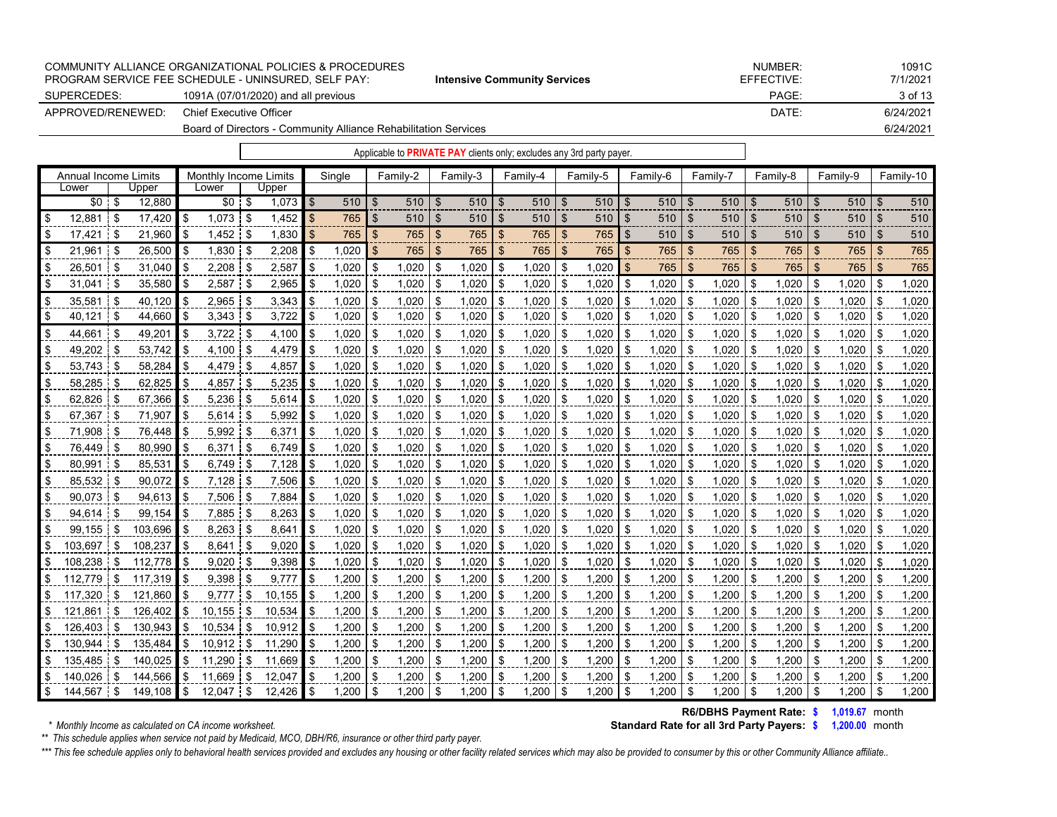|                   |                         | COMMUNITY ALLIANCE ORGANIZATIONAL POLICIES & PROCEDURES<br>PROGRAM SERVICE FEE SCHEDULE - UNINSURED, SELF PAY: | <b>Intensive Community Services</b>                                   | NUMBER:<br>EFFECTIVE: | 1091C<br>7/1/2021 |
|-------------------|-------------------------|----------------------------------------------------------------------------------------------------------------|-----------------------------------------------------------------------|-----------------------|-------------------|
| SUPERCEDES:       |                         | 1091A (07/01/2020) and all previous                                                                            |                                                                       | PAGE:                 | 3 of 13           |
| APPROVED/RENEWED: | Chief Executive Officer |                                                                                                                |                                                                       | DATE:                 | 6/24/2021         |
|                   |                         | Board of Directors - Community Alliance Rehabilitation Services                                                |                                                                       |                       | 6/24/2021         |
|                   |                         |                                                                                                                | Applicable to PRIVATE PAY clients only; excludes any 3rd party payer. |                       |                   |

|      | Annual Income Limits |      |         | Monthly Income Limits<br>Lower<br>Upper |          |      |        | Single |            | Family-2 |            | Family-3 |            | Family-4 |            | Family-5 |            | Family-6 | Family-7   |     |            | Family-8       |            | Family-9 |            | Family-10 |       |
|------|----------------------|------|---------|-----------------------------------------|----------|------|--------|--------|------------|----------|------------|----------|------------|----------|------------|----------|------------|----------|------------|-----|------------|----------------|------------|----------|------------|-----------|-------|
|      | Lower                |      | Upper   |                                         |          |      |        |        |            |          |            |          |            |          |            |          |            |          |            |     |            |                |            |          |            |           |       |
|      | $$0 \tS$             |      | 12.880  |                                         | $$0 \tS$ |      | 1,073  | -\$    | $510$   \$ |          | $510$   \$ |          | $510$ \ \$ |          | $510$ \ \$ |          | $510$   \$ |          | $510$   \$ |     | $510$   \$ |                | $510$   \$ |          | $510$   \$ |           | 510   |
|      | 12.881               | 1 S  | 17.420  | -\$                                     | 1.073    | - \$ | 1,452  | - T    | 765        | \$.      | 510        | \$       | 510        |          | 510        | .S       | 510        | \$       | 510        | - T | 510        |                | 510        | -S       | 510        | \$.       | 510   |
|      | 17,421               | - \$ | 21,960  | \$                                      | 1,452    | -\$  | 1,830  |        | 765        | \$       | 765        | \$       | 765        | \$       | 765        | -\$      | 765        | \$       | 510        | -\$ | 510        | -S             | 510        | -\$      | 510        | \$        | 510   |
|      | 21,961               | ∣\$  | 26,500  | - \$                                    | 1,830    | - \$ | 2,208  |        | 1.020      | \$.      | 765        | \$.      | 765        | \$.      | 765        |          | 765        | \$       | 765        | -\$ | 765        | -\$            | 765        | \$       | 765        | \$.       | 765   |
|      | 26.501               | -\$  | 31.040  | - \$                                    | 2.208    | -\$  | 2,587  |        | 1.020      | \$       | 1.020      | \$       | 1.020      | - \$     | 1.020      | \$       | 1.020      | \$.      | 765        | \$  | 765        | $\mathfrak{L}$ | 765        | \$       | 765        |           | 765   |
|      | 31.041               | - \$ | 35,580  | -\$                                     | 2,587    | \$   | 2,965  |        | 1,020      | \$       | 1,020      | \$       | 1,020      | -\$      | 1,020      | -S       | 1,020      | \$       | 1,020      | -\$ | .020       | -\$            | 1,020      | \$       | 1.020      | \$        | 1.020 |
|      | 35,581               | ∣\$  | 40,120  | - \$                                    | 2,965    | - \$ | 3,343  |        | 1.020      |          | 1,020      | \$       | 1,020      | \$       | 1,020      | ዳ        | 1.020      | \$       | 1,020      | \$  | 1,020      | \$             | 1,020      | £.       | 1,020      | \$        | 1,020 |
| l S  | 40.121               | ∣\$  | 44,660  | - \$                                    | 3,343    | - \$ | 3,722  |        | 1,020      | \$.      | 1,020      | -\$      | 1,020      | -\$      | 1,020      | £.       | 1,020      | \$       | 1,020      | \$  | 1,020      | - \$           | 1,020      | -\$      | 1,020      | \$        | 1,020 |
|      | 44,661               | \$.  | 49,201  | - \$                                    | 3,722    | -\$  | 4,100  |        | 1,020      | \$       | 1,020      | \$       | 1,020      | \$       | 1,020      | £.       | 1,020      | \$       | 1,020      | \$  | 1,020      | \$.            | 1,020      | Œ.       | 1,020      | S         | 1,020 |
|      | 49,202               | -\$  | 53,742  | - \$                                    | 4,100    | -\$  | 4,479  |        | 1,020      | \$       | 1,020      | \$       | 1,020      | \$       | 1,020      | \$       | 1,020      | \$       | 1,020      | \$  | 1,020      | -\$            | 1,020      | \$       | 1,020      | \$        | 1,020 |
|      | 53,743               | - \$ | 58,284  | \$                                      | 4,479    | -\$  | 4,857  |        | 1,020      | \$       | 1,020      | \$       | 1,020      | -\$      | 1,020      | \$       | 1,020      | \$       | 1,020      | \$  | 1,020      | - \$           | 1,020      | S        | 1,020      |           | 1,020 |
|      | 58,285               | -\$  | 62,825  | - \$                                    | 4,857    | ß.   | 5,235  |        | 1,020      | \$       | 1,020      | \$       | 1,020      | -\$      | 1,020      | \$       | 1,020      | \$       | 1,020      | \$  | 1,020      | \$             | 1,020      | \$       | 1,020      | \$        | 1,020 |
|      | 62,826               | ∣S.  | 67,366  | -S                                      | 5.236    | - \$ | 5,614  |        | 1.020      | \$       | 1.020      | \$       | 1.020      | -\$      | 1.020      | \$       | 1,020      | \$       | 1,020      | \$  | 1.020      | -\$            | 1,020      | \$       | 1,020      | \$        | 1,020 |
|      | 67,367               | - \$ | 71,907  | \$                                      | 5.614    | -\$  | 5,992  |        | 1,020      |          | 1,020      | \$       | 1,020      | \$       | 1,020      | ዳ        | 1,020      | \$       | 1,020      | \$  | 1,020      | \$             | 1,020      | £.       | 1,020      | \$        | 1,020 |
|      | 71,908               | -\$  | 76,448  |                                         | 5,992    | - \$ | 6,37'  |        | 1,020      | \$.      | 1,020      | \$       | 1,020      | -\$      | 1,020      | \$       | 1,020      | \$       | 1,020      | \$  | 1,020      | - \$           | 1,020      | ß.       | 1,020      | \$        | 1,020 |
|      | 76,449               | £.   | 80,990  | -\$                                     | 6,371    | £.   | 6,749  |        | 1,020      | \$       | 1,020      | \$       | 1,020      | -S       | 1,020      |          | 0.020      | \$.      | 1,020      | \$  | 1,020      | \$             | 020, ا     | £.       | 1,020      | \$        | 1,020 |
|      | 80,991               | -\$  | 85,531  | - \$                                    | 6,749    | \$   | 7,128  |        | 1,020      | \$       | 1,020      | \$       | 1,020      | \$       | 1,020      | \$       | 1,020      | \$       | 1,020      | \$  | 1,020      | \$             | 1,020      | \$       | 1,020      | \$        | 1,020 |
|      | 85,532               | - \$ | 90,072  | -\$                                     | 7,128    | -\$  | 7,506  |        | 1,020      | \$.      | 1,020      | \$       | 1,020      | -\$      | 1,020      | £.       | 1,020      | \$       | 1,020      | \$  | 1,020      | -\$            | 1,020      | S        | 1,020      | \$        | 1,020 |
|      | 90,073               | \$   | 94,613  | - \$                                    | 7,506    | \$   | 7,884  |        | 1,020      | \$       | 1,020      | \$       | 1,020      | \$       | 1,020      | \$       | 1,020      | \$       | 1,020      | \$  | 1,020      | \$             | 1,020      | \$       | 1,020      | \$        | 1,020 |
|      | 94.614               | £.   | 99.154  | - \$                                    | 7.885    | £.   | 8,263  |        | 1,020      | \$       | 1,020      | \$       | 1,020      | \$       | 1,020      | \$       | 1,020      | \$       | 1,020      | \$  | 1,020      | - \$           | 1,020      | \$       | 1,020      | \$        | 1,020 |
|      | 99.155               | £.   | 103,696 | - \$                                    | 8,263    |      | 8,641  |        | 1,020      | \$       | 1,020      | \$       | 1,020      | \$       | 1,020      | £.       | 1,020      | \$       | 1,020      | \$  | 1,020      | ę.             | 1,020      |          | 1,020      | S         | 1,020 |
|      | 103.697              | \$   | 108,237 | - \$                                    | 8,641    | \$   | 9,020  |        | 1,020      | \$       | 1,020      | -\$      | 1,020      | -\$      | 1,020      | \$       | 1,020      | \$       | 1,020      | \$  | 1,020      | \$             | 1,020      | \$.      | 1,020      | \$        | 1,020 |
|      | 108.238              | \$   | 112,778 | - \$                                    | 9,020    | .ፍ   | 9,398  |        | 1,020      | \$       | 1,020      | \$       | 1,020      | \$       | 1,020      |          | 1,020      | \$       | 1,020      | \$  | 1,020      | \$             | 1,020      |          | 1,020      | S         | 1,020 |
|      | 112,779              | \$   | 117,319 | \$                                      | 9,398    | £.   | 9.777  |        | 1,200      | \$.      | 1,200      | \$       | 1,200      | \$       | 1,200      | \$       | 1,200      | \$       | 1,200      | \$  | 1,200      | \$             | 1,200      | £.       | 1,200      |           | 1,200 |
|      | 117,320              | -\$  | 121,860 | - \$                                    | 9.777    | \$   | 10,155 |        | 1,200      | \$.      | 1,200      | \$       | 1,200      | -\$      | 1,200      | -\$      | 1,200      | \$       | 1,200      | \$  | 1,200      | - \$           | 1,200      | \$       | 1,200      | \$        | 1,200 |
|      | 121,861              | S    | 126,402 | \$.                                     | 10,155   | S    | 10,534 |        | 1,200      | \$       | 1,200      | \$       | 1,200      | -\$      | 1,200      | -S       | 1,200      | \$       | 1,200      | \$  | 1,200      | - \$           | 1,200      | ß.       | 1,200      | \$        | 1,200 |
|      | 126.403              | -S   | 130.943 | - \$                                    | 10.534   | \$   | 10.912 |        | 1,200      | \$       | 1.200      | \$       | 1,200      | \$       | 1.200      | \$       | 1,200      | \$       | 1,200      | \$  | 1.200      | - \$           | 1,200      | £.       | 1,200      | S.        | 1,200 |
|      | 130.944              | \$.  | 135,484 | \$                                      | 10.912   | \$   | 11,290 |        | 1,200      |          | 1,200      | \$       | 1,200      | -\$      | 1,200      |          | 1,200      | \$       | 1,200      | \$  | 1,200      | -\$            | 1,200      | £.       | 1,200      |           | 1,200 |
|      | 135.485              | \$   | 140,025 | \$.                                     | 11,290   | \$   | 11,669 |        | 1,200      | \$       | 1,200      | -\$      | 1,200      | \$       | 1,200      | ß.       | 1,200      | \$       | 1,200      | \$  | 1,200      | -\$            | 1,200      | \$       | 1,200      | \$        | 1,200 |
|      | 140.026              | \$   | 144.566 | -S                                      | 11.669   | ደ    | 12.047 |        | 1.200      | \$.      | .200       | \$       | 1,200      | -S       | .200       |          | .200       | \$       | 1.200      | \$  | 1,200      | -\$            | .200       |          | 1,200      |           | 1,200 |
| I \$ | 144,567 \$           |      | 149.108 | - \$                                    | 12.047   | \$   | 12.426 | -\$    | 1.200      | \$       | 1.200      | \$       | 1.200      | \$       | 1.200      | \$       | 1.200      | \$       | 1.200      | \$  | 1.200      | \$             | 1.200      | \$       | 1,200      | \$        | 1,200 |

**R6/DBHS Payment Rate: \$ 1,019.67** month **Standard Rate for all 3rd Party Payers: \$ 1,200.00** month

*\*\* This schedule applies when service not paid by Medicaid, MCO, DBH/R6, insurance or other third party payer.*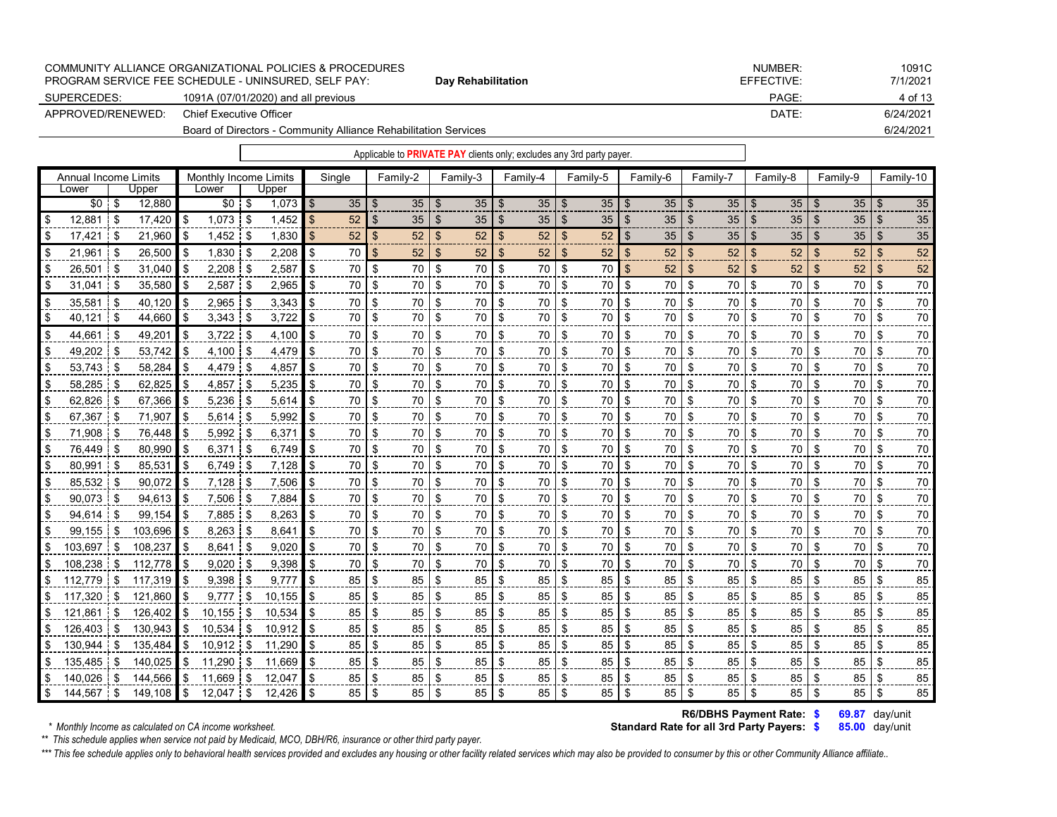|                   | COMMUNITY ALLIANCE ORGANIZATIONAL POLICIES & PROCEDURES<br><b>PROGRAM SERVICE FEE SCHEDULE - UNINSURED. SELF PAY:</b> | Day Rehabilitation | NUMBER:<br>EFFECTIVE: | 1091C<br>7/1/2021 |
|-------------------|-----------------------------------------------------------------------------------------------------------------------|--------------------|-----------------------|-------------------|
| SUPERCEDES:       | 1091A (07/01/2020) and all previous                                                                                   |                    | PAGE:                 | 4 of 13           |
| APPROVED/RENEWED: | Chief Executive Officer                                                                                               |                    | DATE:                 | 6/24/2021         |
|                   | Board of Directors - Community Alliance Rehabilitation Services                                                       |                    |                       | 6/24/2021         |

| Annual Income Limits |    |             |      | Monthly Income Limits |      |              |                | Single          |      | Family-2 |                           | Family-3        |      | Family-4 |     | Family-5        |          | Family-6        |                | Family-7 |     | Family-8        |      | Family-9        |      | Family-10 |
|----------------------|----|-------------|------|-----------------------|------|--------------|----------------|-----------------|------|----------|---------------------------|-----------------|------|----------|-----|-----------------|----------|-----------------|----------------|----------|-----|-----------------|------|-----------------|------|-----------|
| Lower                |    | Upper       |      | Lower                 |      | Upper        |                |                 |      |          |                           |                 |      |          |     |                 |          |                 |                |          |     |                 |      |                 |      |           |
| $$0 \t$$             |    | 12,880      |      | $$0 \quad $$          |      | $1,073$ \$   |                | 35 <sup>5</sup> |      | 35       | \$                        | 35              |      | 35       |     | 35 <sub>2</sub> | -\$      | 35 <sup>1</sup> |                | 35       |     | 35 <sup>5</sup> |      | 35              |      | 35        |
| 12,881               | \$ | 17,420      | -\$  | $1,073$ \$            |      | 1,452        | $\blacksquare$ | 52              |      | 35       | \$                        | 35              | -\$  | 35       | \$  | 35 <sub>5</sub> | \$       | 35 <sup>1</sup> | -\$            | 35       | \$  | 35 <sub>2</sub> | \$   | 35 <sup>5</sup> |      | 35        |
| 17,421               | \$ | 21,960      | \$   |                       |      | 1,830        | $\blacksquare$ | 52              |      | 52       | $\boldsymbol{\mathsf{S}}$ | 52              | \$   | 52       |     | 52              | \$       | $35$   \$       |                | 35       | \$. | 35              | -\$  | 35              | -SS  | 35        |
| 21,961               | \$ | 26,500      | -\$  | 1,830                 | \$   | $2,208$ \$   |                | 70 I            |      | 52       | \$                        | 52 <sub>2</sub> | \$   | 52       | \$  | 52              | \$       | 52              | $\mathfrak{s}$ | 52       |     | 52              | \$   | 52              | \$   | 52        |
| 26,501               |    | 31,040      |      | $2,208$ \$            |      | 2,587        | \$             | 70              |      | 70       | \$                        | 70              | \$   | 70       | \$  | 70              | \$       | 52 <sub>1</sub> | \$             | 52       | \$  | 52              | -\$  | 52 <sub>2</sub> | \$   | 52        |
| 31,041               | \$ | $35,580$ \$ |      | $2,587$ \$            |      | 2,965        | - \$           | 70              | \$   | 70       | \$                        | 70 l            | -\$  | 70       | \$  | 70              | \$       | 70 \$           |                | 70       | \$  | 70              | \$   | 70 \$           |      | 70        |
| 35,581               |    | 40,120      | ا \$ | $2,965$ \$            |      | $3,343$ \$   |                | 70              | -\$  | 70 I     | \$                        | 70 l            | -\$  | 70       | -\$ | 70              | -\$      | 70 \$           |                | 70       | \$  | 70              | -\$  | 70 \$           |      | 70        |
| 40,121               | \$ | 44,660      | ا \$ | $3,343$ \$            |      | 3,722        | ۱S.            | 70              | -\$  | 70       | \$                        | 70 I            | - \$ | 70       | \$  | 70              | -\$      | 70 \$           |                | 70       | \$  | 70              | -\$  | 70 \$           |      | 70        |
| 44,661               |    | 49,201      |      | 3,722                 | \$   | $4,100$ \ \$ |                | 70              | -\$  | 70 l     | \$                        | 70 l            | -\$  | 70       | \$  | 70              | -\$      | 70 \$           |                | 70       |     | 70              | - \$ | 70 \$           |      | 70        |
| 49,202               |    | 53,742      |      | 4,100 \$              |      | 4.479        | $\blacksquare$ | 70              | \$   | 70       | \$                        | 70 I            | - \$ | 70       | \$  | 70              | -\$      | 70 \$           |                | 70       | \$  | 70              | -\$  | 70 \$           |      | 70        |
| 53,743               | \$ | 58,284      |      | 4,479 \$              |      | 4,857        | \$             | 70              | - \$ | 70       | \$                        | 70 l            | -\$  | 70       | \$  | 70              | - \$     | 70 \$           |                | 70       | \$  | 70              | -\$  | 70 \$           |      | 70        |
| 58,285               | \$ | 62,825      | -\$  | $4,857$ \$            |      | 5,235        | - \$           | 70              | -\$  | 70       | \$                        | 70 l            | - \$ | 70       | \$. | 70              | -\$      | 70 l            | - \$           | 70       | \$  | 70              | -\$  | 70 l            | - \$ | 70        |
| 62,826               | \$ | 67,366      |      | $5,236$ \$            |      | $5,614$ \$   |                | 70              | -\$  | 70 \$    |                           | 70 \$           |      | 70       | -\$ | 70              | l \$     | 70 \$           |                | 70       | -\$ | 70              | -\$  | 70 \$           |      | 70        |
| 67,367               |    | 71,907      |      | $5,614$ \$            |      | 5,992        | -S             | 70              | \$.  | 70       | \$                        | 70 I            | - \$ | 70       | \$  | 70              | -\$      | 70 l            | - \$           | 70       | \$  | 70              | - \$ | 70 \$           |      | 70        |
| 71,908               | \$ | 76,448      |      | $5,992$ \$            |      | 6,371        | l \$           | 70              | \$   | 70       | \$                        | 70              | - \$ | 70       | \$  | 70              | <b>S</b> | 70   \$         |                | 70       | \$  | 70              | -\$  | 70 \$           |      | 70        |
| 76,449               |    | 80,990      | \$   | 6,371                 | - \$ | $6,749$ \$   |                | 70              | -\$  | 70       | \$                        | 70 l            | -\$  | 70       | \$  | 70              | -\$      | 70 I            | - \$           | 70       | \$  | 70              | -\$  | 70 l            | - \$ | 70        |
| 80,991               |    | 85,531      |      | 6,749                 | \$   | $7,128$ \$   |                | 70              | \$   | 70       | \$                        | 70 l            | -\$  | 70       | \$  | 70              | -\$      | 70 \$           |                | 70       | \$  | 70              | -\$  | 70 \$           |      | 70        |
| 85,532               | \$ | 90,072      | -\$  | $7,128$ \$            |      | 7,506        | l \$           | 70              | -\$  | 70       | \$                        | 70 I            | - \$ | 70       | \$  | 70              | -\$      | 70 \$           |                | 70       | \$  | 70              | -\$  | 70 \$           |      | 70        |
| 90,073               | \$ | 94,613      |      | 7,506                 | \$   | 7,884        | <b>IS</b>      | 70              | \$   | 70       | \$                        | 70 \$           |      | 70       | \$  | 70              | -\$      | 70 \$           |                | 70       | \$  | 70              | -\$  | 70 \$           |      | 70        |
| 94,614               | S. | 99,154      | l \$ | $7,885$ \$            |      | $8,263$ \$   |                | 70              | -\$  | 70       | \$                        | 70 \$           |      | 70       | -\$ | 70              | -\$      | 70 \$           |                | 70       |     | 70              | -\$  | 70 \$           |      | 70        |

\$ 99,155 \$ 103,696 \$ 8,263 \$ 8,641 \$ 70 \$ 70 \$ 70 \$ 70 \$ 70 \$ 70 \$ 70 \$ 70 \$ 70 \$ 70 \$ 103,697 \$ 108,237 \$ 8,641 \$ 9,020 \$ 70 \$ 70 \$ 70 \$ 70 \$ 70 \$ 70 \$ 70 \$ 70 \$ 70 \$ 70 \$ 108,238 ∣\$ 112,778 ∥\$ 9,020 ∣\$ 9,398 ∥\$ 70 |\$ 70 |\$ 70 |\$ 70 |\$ 70 |\$ 70 |\$ 70 |\$ 70 |\$ 70 \$ 112,779 |\$ 117,319 |\$ 9,398 |\$ 9,777 |\$ 85 |\$ 85 |\$ 85 |\$ 85 |\$ 85 |\$ 85 |\$ 85 |\$ 85 |\$ 85 \$ 117,320 |\$ 121,860 |\$ 9,777 |\$ 10,155 |\$ 85 |\$ 85 |\$ 85 |\$ 85 |\$ 85 |\$ 85 |\$ 85 |\$ 85 |\$ 85 \$ 121,861 \$\$ 126,402 |\$ 10,155 \$\$ 10,534 |\$ 85 |\$ 85 |\$ 85 |\$ 85 |\$ 85 |\$ 85 |\$ 85 |\$ 85 |\$ 85 |\$ 85 \$ 126,403 |\$ 130,943 |\$ 10,534 |\$ 10,912 |\$ 85 |\$ 85 |\$ 85 |\$ 85 |\$ 85 |\$ 85 |\$ 85 |\$ 85 |\$ 85 |\$ 85 \$ 130,944 |\$ 135,484 |\$ 10,912 |\$ 11,290 |\$ 85 |\$ 85 |\$ 85 |\$ 85 |\$ 85 |\$ 85 |\$ 85 |\$ 85 |\$ 85 |\$ 85 \$ 135,485 |\$ 140,025 |\$ 11,290 |\$ 11,669 |\$ 85 |\$ 85 |\$ 85 |\$ 85 |\$ 85 |\$ 85 |\$ 85 |\$ 85 |\$ 85 |\$ 85 \$ 140,026 |\$ 144,566 |\$ 11,669 |\$ 12,047 |\$ 85 |\$ 85 |\$ 85 |\$ 85 |\$ 85 |\$ 85 |\$ 85 |\$ 85 |\$ 85 |\$ 85 \$ 144,567 |\$ 149,108 |\$ 12,047 |\$ 12,426 |\$ 85 |\$ 85 |\$ 85 |\$ 85 |\$ 85 |\$ 85 |\$ 85 |\$ 85 |\$ 85

*\* Monthly Income as calculated on CA income worksheet.* **<b>Standard Rate for all 3rd Party Payers:**  $$$ 

**\$ 69.87** day/unit  **R6/DBHS Payment Rate:**

**\$ 85.00** day/unit

*\*\* This schedule applies when service not paid by Medicaid, MCO, DBH/R6, insurance or other third party payer.*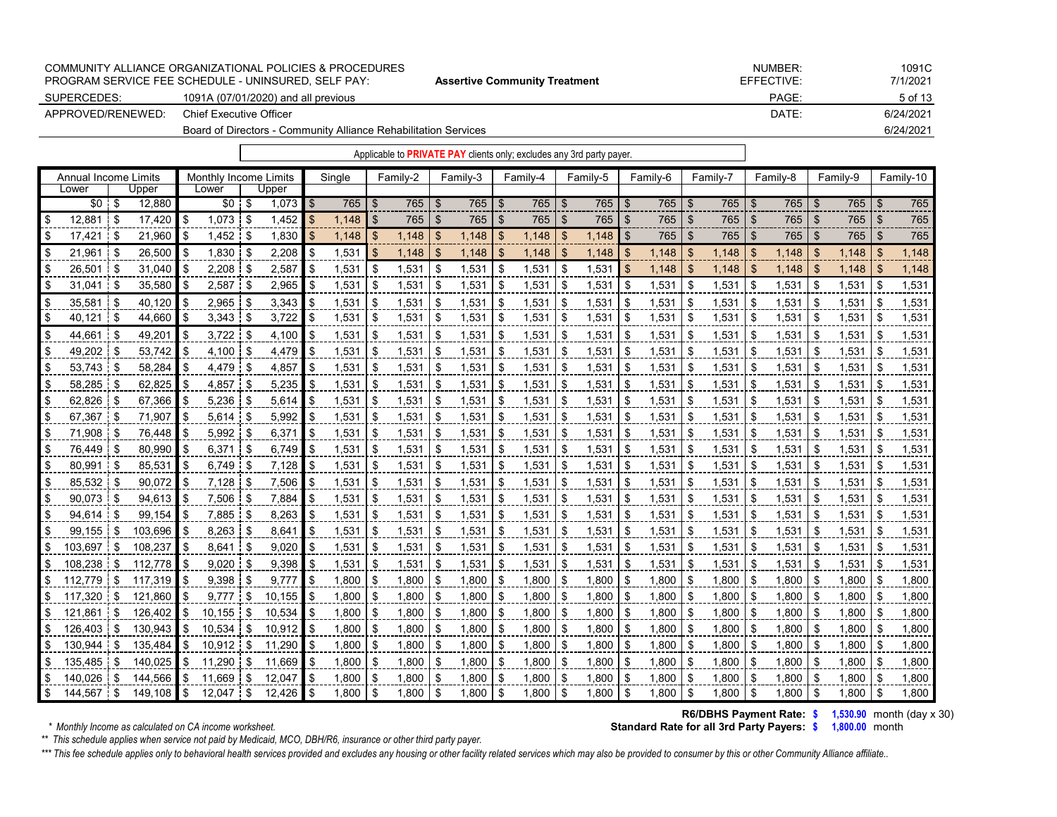|                   | COMMUNITY ALLIANCE ORGANIZATIONAL POLICIES & PROCEDURES<br>PROGRAM SERVICE FEE SCHEDULE - UNINSURED. SELF PAY: | <b>Assertive Community Treatment</b> | NUMBER:<br>EFFECTIVE: | 1091C<br>7/1/2021 |
|-------------------|----------------------------------------------------------------------------------------------------------------|--------------------------------------|-----------------------|-------------------|
| SUPERCEDES:       | 1091A (07/01/2020) and all previous                                                                            |                                      | PAGE:                 | 5 of 13           |
| APPROVED/RENEWED: | Chief Executive Officer                                                                                        |                                      | DATE:                 | 6/24/2021         |
|                   | Board of Directors - Community Alliance Rehabilitation Services                                                |                                      |                       | 6/24/2021         |

|                             |               |          |                       |                  |                |        |     | Applicable to <b>PRIVATE PAY</b> clients only; excludes any 3rd party payer. |                           |          |                |          |                |          |               |            |                |          |                |          |                |          |                           |           |
|-----------------------------|---------------|----------|-----------------------|------------------|----------------|--------|-----|------------------------------------------------------------------------------|---------------------------|----------|----------------|----------|----------------|----------|---------------|------------|----------------|----------|----------------|----------|----------------|----------|---------------------------|-----------|
| <b>Annual Income Limits</b> |               |          | Monthly Income Limits |                  |                | Single |     | Family-2                                                                     |                           | Family-3 |                | Family-4 |                | Family-5 |               | Family-6   |                | Family-7 |                | Family-8 |                | Family-9 |                           | Family-10 |
| Lower                       | Upper         |          | Lower                 | Upper            |                |        |     |                                                                              |                           |          |                |          |                |          |               |            |                |          |                |          |                |          |                           |           |
| \$0                         | \$<br>12,880  |          | $$0$ \$               | 1,073            | $\blacksquare$ | 765    | -\$ | 765                                                                          | \$                        | 765      | - \$           | 765      | \$             | 765      | -\$           | $765$ \$   |                | 765      | $\mathfrak{S}$ | 765      | -\$            | 765      | \$                        | 765       |
| 12,881                      | \$<br>17,420  | \$       | $1,073$ \$            | 1,452            | $\sqrt{3}$     | 1,148  | \$  | 765                                                                          | $\boldsymbol{\mathsf{S}}$ | 765      | $\mathfrak{L}$ | 765      | $\mathsf{\$}$  | 765      | $\frac{1}{2}$ | 765        | $\mathfrak{S}$ | 765      | \$             | 765      | $\sqrt[6]{3}$  | 765      | $\boldsymbol{\mathsf{S}}$ | 765       |
| 17,421                      | \$<br>21,960  | \$       | 1,452                 | \$<br>1,830      | \$             | 1,148  | \$. | 1,148                                                                        | \$                        | 1,148    | -\$            | 1,148    | \$             | 1,148    | \$            | 765        | \$             | 765      | \$             | 765      | $\mathfrak{L}$ | 765      | \$.                       | 765       |
| 21,961                      | \$<br>26,500  | -\$      | 1,830                 | \$<br>2,208      | $\bullet$ \$   | 1,531  | \$  | 1,148                                                                        | $\boldsymbol{\mathsf{S}}$ | 1,148    | \$             | 1,148    | $\mathfrak{S}$ | 1,148    | \$            |            |                | 1,148    | \$             | 1,148    | \$             | 1,148    | -\$                       | 1,148     |
| 26,501                      | \$<br>31,040  | \$       | 2,208                 | \$<br>2,587      | \$             | 1,531  | \$  | 1,531                                                                        | \$                        | 1,531    | -\$            | 1,531    | \$             | 1,531    | $\mathbf{\$}$ | 1,148      | \$             | 1,148    | \$             | 1,148    | -\$            | 1,148    | \$                        | 1,148     |
| 31,041                      | \$<br>35,580  | -\$      | 2,587                 | \$<br>2,965      | \$             | 1,531  | \$  | 1,531                                                                        | \$                        | 1,531    | \$             | 1,531    | \$             | 1,531    | \$            | 1,531      | $\sqrt{3}$     | 1,531    | \$             | 1,531    | \$             | 1,531    | \$                        | 1,531     |
| 35,581                      | \$<br>40.120  | \$       | $2,965$ \$            | 3.343            | l \$           | 1,531  | \$  | 1,531                                                                        | \$                        | 1,531    | \$             | 1,531    | \$             | 1,531    | -\$           | 1,531      | l \$           | 1,531    | \$             | 1,531    | -\$            | 1,531    | \$                        | 1,531     |
| 40,121                      | \$<br>44,660  | \$       | $3,343$ \$            | 3,722            | \$             | 1,531  | \$  | 1,531                                                                        | \$                        | 1,531    | \$             | 1,531    | \$             | 1,531    | \$            | 1,531      | $\sqrt{3}$     | 1,531    | \$             | 1,531    | \$             | 1,531    | \$                        | 1,531     |
| 44.661                      | \$<br>49,201  | \$       | 3,722                 | \$<br>4,100      | \$             | 1,531  | \$  | 1,531                                                                        | \$                        | 1,531    | \$             | 1,531    | \$             | 1,531    | \$            | 1,531      | - \$           | 1,531    | \$             | 1,531    | \$             | 1,531    | \$                        | 1,531     |
| 49,202                      | \$<br>53.742  | \$       | $4.100 \t S$          | 4,479            | $\blacksquare$ | 1,531  | \$  | 1,531                                                                        | \$                        | 1,531    | \$             | 1,531    | \$             | 1.531    | \$            | 1,531      | -\$            | 1,531    | \$             | 1,531    | \$             | 1,531    | \$                        | 1,531     |
| 53,743                      | 58,284        |          | 4,479                 | \$<br>4,857      | \$             | 1,531  |     | 1,531                                                                        | \$                        | 1,531    | \$             | 1,531    | \$             | 1,531    | \$            | 1,531      | -\$            | 1,531    | \$             | 1,531    | -\$            | 1,531    | £.                        | 1,531     |
| 58,285                      | \$<br>62.825  | \$       | 4,857                 | \$<br>5,235      | \$             | 1,531  | \$  | 1,531                                                                        | \$                        | 1,531    | \$             | 1,531    | \$             | 1,531    | \$            | 1,531      | -\$            | 1,531    | \$             | 1,531    | \$             | 1,531    | \$                        | 1,531     |
| 62,826                      | \$<br>67,366  |          | $5,236$ \$            | 5,614            | -\$            | 1,531  | \$  | 1,531                                                                        | \$                        | 1,531    | \$             | 1,531    | \$             | 1,531    | -\$           | 1,531      | -\$            | 1,531    | \$             | 1,531    | \$             | 1,531    | \$                        | 1,531     |
| 67,367                      | \$<br>71,907  | \$       | 5,614                 | \$<br>5,992      | \$             | 1,531  | \$  | 1,531                                                                        | \$                        | 1,531    | \$             | 1,531    | \$             | 1,531    | \$            | 1,531      | 1 \$           | 1,531    | \$             | 1,531    | \$             | 1,531    | \$                        | 1,531     |
| 71,908                      | \$<br>76,448  |          | 5,992                 | \$<br>6,371      | \$             | 1,531  | \$  | 1,531                                                                        | \$                        | 1,531    | \$             | 1,531    | \$             | 1,531    | \$            | 1,531      | l \$           | 1,531    | \$             | 1,531    | \$             | 1,531    | \$                        | 1,531     |
| 76,449                      | \$<br>80,990  | \$       | 6,371                 | \$<br>$6,749$ \$ |                | 1,531  | \$  | 1,531                                                                        | \$                        | 1,531    | \$             | 1,531    | \$             | 1,531    | \$            | 1,531      | -\$            | 1,531    | \$             | 1,531    | \$             | 1,531    | \$                        | 1,531     |
| 80,991                      | \$<br>85,531  |          | 6,749                 | \$<br>7,128      | -\$            | 1,531  | \$  | 1,531                                                                        | \$                        | 1,531    | \$             | 1,531    | \$             | 1,531    | \$            | 1,531      | \$             | 1,531    | \$             | 1,531    | \$             | 1,531    | \$                        | 1,531     |
| 85,532                      | \$<br>90,072  | \$       | 7,128                 | \$<br>7,506      | \$             | 1,531  | \$  | 1,531                                                                        | \$                        | 1,531    | \$             | 1,531    | \$             | 1,531    | \$            | 1,531      | -\$            | 1,531    | \$             | 1,531    | \$             | 1,531    | \$                        | 1,531     |
| 90,073                      | \$<br>94,613  | \$       | 7,506 \$              | 7,884            | \$             | 1,531  | \$  | 1,531                                                                        | \$                        | 1,531    | \$             | 1,531    | \$             | 1,531    | \$            | 1,531      | $\sqrt{3}$     | 1,531    | \$             | 1,531    | \$             | 1,531    | \$                        | 1,531     |
| 94,614                      | \$<br>99,154  | \$       | 7,885                 | \$<br>8,263      | <b>S</b>       | 1,531  | \$  | 1,531                                                                        | \$                        | 1,531    | \$             | 1,531    | \$             | 1,531    | \$            | 1,531      | -\$            | 1,531    | \$             | 1,531    | \$             | 1,531    | \$                        | 1,531     |
| 99,155                      | \$<br>103,696 | \$       | 8,263                 | \$<br>8,641      | \$             | 1,531  | \$  | 1,531                                                                        | \$                        | 1,531    | \$             | 1,531    | \$             | 1,531    | \$            | 1,531      | - \$           | 1,531    | \$             | 1,531    | \$             | 1,531    | \$                        | 1,531     |
| 103,697                     | \$<br>108,237 |          | $8,641$ \ \ \$        | 9,020            | -\$            | 1,531  |     | 1,531                                                                        | \$                        | 1,531    | \$             | 1,531    | \$             | 1,531    | \$            | 1,531      | - \$           | 1,531    | \$             | 1,531    | \$             | 1,531    | \$                        | 1,531     |
| 108,238                     | \$<br>112.778 | \$       | 9,020                 | \$<br>9,398      | \$             | 1,531  | \$  | 1,531                                                                        | \$                        | 1,531    | \$             | 1,531    | \$             | 1,531    | \$            | 1,531      | \$             | 1,531    | \$             | 1,531    | \$             | 1,531    | \$                        | 1,531     |
| 112,779                     | \$<br>117,319 |          | 9,398                 | \$<br>9,777      | \$             | 1,800  | -\$ | 1,800                                                                        | \$                        | 1,800    | \$             | 1,800    | -\$            | 1,800    | \$            | 1,800      | - \$           | 1,800    | \$             | 1,800    | \$             | 1,800    | \$                        | 1,800     |
| 117,320                     | \$<br>121,860 | \$       | 9,777                 | \$<br>10,155     | \$             | 1,800  |     | 1,800                                                                        | \$                        | 1,800    | -\$            | 1,800    | \$             | 1,800    | \$            | $1,800$ \$ |                | 1,800    | \$             | 1,800    | \$             | 1,800    | \$                        | 1,800     |
| 121,861                     | \$<br>126,402 | \$       | 10, 155               | \$<br>10,534     | \$             | 1,800  | \$  | 1,800                                                                        | \$                        | 1,800    | \$             | 1,800    | \$             | 1,800    | \$            | 1,800      | \$             | 1,800    | \$             | 1,800    | \$             | 1,800    | \$                        | 1,800     |
| 126,403                     | \$<br>130,943 | \$       | 10,534 \$             | 10,912           | $\blacksquare$ | 1,800  | \$  | 1,800                                                                        | \$                        | 1,800    | \$             | 1,800    | \$             | 1,800    | \$            | 1,800      | -\$            | 1,800    | \$             | 1,800    | \$             | 1,800    | \$                        | 1,800     |
| 130,944                     | 135.484       |          | 10,912                | \$<br>11,290     |                | 1,800  |     | 1,800                                                                        | \$                        | 1,800    | \$             | 1,800    |                | 1,800    | \$            | 1,800      | \$             | 1,800    | \$             | 1,800    | \$             | 1,800    |                           | 1,800     |
| 135,485                     | \$<br>140,025 | <b>S</b> | $11,290$ \$           | 11,669           | \$             | 1,800  | \$  | 1,800                                                                        | \$                        | 1,800    | \$             | 1.800    | \$             | 1,800    | \$            | 1,800      | \$             | 1,800    | \$             | 1,800    | \$             | 1,800    | \$                        | 1,800     |
|                             |               |          |                       |                  |                |        |     |                                                                              |                           |          |                |          |                |          |               |            |                |          |                |          |                |          |                           |           |

**R6/DBHS Payment Rate: \$ 1,530.90** month (day x 30) **Standard Rate for all 3rd Party Payers: \$ 1,800.00** month

*\*\* This schedule applies when service not paid by Medicaid, MCO, DBH/R6, insurance or other third party payer.*

\*\*\* This fee schedule applies only to behavioral health services provided and excludes any housing or other facility related services which may also be provided to consumer by this or other Community Alliance affiliate..

\$ 140,026 \$ 144,566 \$ 11,669 \$ 12,047 \$ 1,800 |\$ 1,800 |\$ 1,800 |\$ 1,800 |\$ 1,800 |\$ 1,800 |\$ 1,800 |\$ 1,800 |\$ 1,800 \$ 144,567 \$ 149,108 \$ 12,047 \$ 12,426 \$ 1,800 \$ 1,800 \$ 1,800 \$ 1,800 \$ 1,800 \$ 1,800 \$ 1,800 \$ 1,800 \$ 1,800 \$ 1,800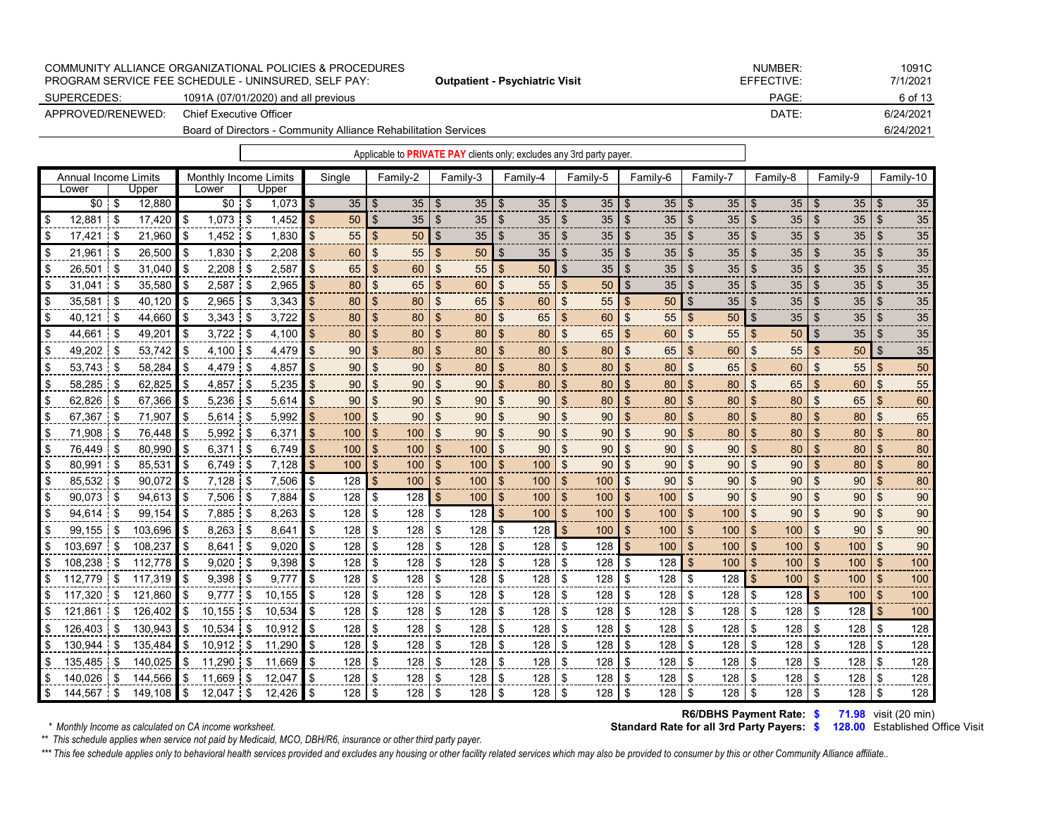|                   | COMMUNITY ALLIANCE ORGANIZATIONAL POLICIES & PROCEDURES         |                                       | NUMBER:    | 1091C     |
|-------------------|-----------------------------------------------------------------|---------------------------------------|------------|-----------|
|                   | PROGRAM SERVICE FEE SCHEDULE - UNINSURED. SELF PAY:             | <b>Outpatient - Psychiatric Visit</b> | EFFECTIVE: | 7/1/2021  |
| SUPERCEDES:       | 1091A (07/01/2020) and all previous                             |                                       | PAGE:      | 6 of 13   |
| APPROVED/RENEWED: | Chief Executive Officer                                         |                                       | DATE:      | 6/24/2021 |
|                   | Board of Directors - Community Alliance Rehabilitation Services |                                       |            | 6/24/2021 |

| Annual Income Limits |              |         | Monthly Income Limits |             |            |     | Single |                | Family-2 |                | Family-3        |                | Family-4  |                           | Family-5  |                           | Family-6         |                | Family-7  |                | Family-8  |                           | Family-9  |                           | Family-10 |
|----------------------|--------------|---------|-----------------------|-------------|------------|-----|--------|----------------|----------|----------------|-----------------|----------------|-----------|---------------------------|-----------|---------------------------|------------------|----------------|-----------|----------------|-----------|---------------------------|-----------|---------------------------|-----------|
| Lower                |              | Upper   | Lower                 |             | Upper      |     |        |                |          |                |                 |                |           |                           |           |                           |                  |                |           |                |           |                           |           |                           |           |
| $$0$ \$              |              | 12,880  | $$0$ \ $$$            |             | $1,073$ \$ |     |        |                | 35       | -\$            | 35              | \$             | $35$   \$ |                           | $35$   \$ |                           | 35 S             |                | $35$   \$ |                | $35$   \$ |                           | $35$   \$ |                           | 35        |
| 12.881               | l \$         | 17.420  | \$<br>1,073           | -\$         | 1,452      |     | 50     | $\mathfrak{S}$ | 35       | -\$            | 35 <sub>2</sub> | \$             | 35        | $\mathfrak{L}$            | 35        | \$                        | 35               | $\mathfrak{L}$ | 35        | \$             | 35        | $\mathfrak{L}$            | 35        | $\mathfrak{L}$            | 35        |
| \$<br>17,421         | l \$         | 21,960  | \$<br>$1,452$ \$      |             | 1,830      |     | 55     | \$             | 50       | <b>S</b>       | 35              | \$             | 35        | $\boldsymbol{\mathsf{S}}$ | 35        | $\sqrt[6]{3}$             | 35               | \$             | 35        | \$             | 35        | \$                        | 35        | $\mathfrak{F}$            | 35        |
| \$<br>21,961         | $\mathsf{I}$ | 26,500  | \$<br>1,830           | <b>1</b> \$ | 2,208      |     | 60     | \$             | 55       | \$             | 50              | \$             | 35        | \$                        | 35        | \$                        | 35               | \$             | 35        |                | 35        | \$                        | 35        | $\mathfrak{S}$            | 35        |
| \$<br>26,501         | i \$         | 31,040  | \$<br>2,208           | <b>S</b>    | 2,587      | \$  | 65     | \$             | 60       | \$             | 55              | \$             | 50        | $\mathfrak{S}$            | 35        | \$                        | 35               | \$             | 35        | $\mathfrak{L}$ | 35        | $\mathfrak{s}$            | 35        | $\mathfrak{L}$            | 35        |
| \$<br>31,041         | <b>1</b> \$  | 35,580  | \$<br>2,587           | \$          | 2,965      | \$  | 80     | \$             | 65       | \$             | 60              | $\mathfrak{s}$ | 55        | $\mathfrak{L}$            | 50        | \$                        | 35               | \$             | 35        | $\mathfrak{L}$ | 35        | $\mathfrak{L}$            | 35        | \$                        | 35        |
| \$<br>35,581 \$      |              | 40,120  | \$<br>$2,965$ \$      |             | 3,343      |     | 80     | \$             | 80       | \$             | 65              | \$             | 60        | $\mathfrak{S}$            | 55        | $\mathbf{\$}$             | 50               | $\mathfrak{S}$ | 35        | \$             | 35        | $\mathfrak{S}$            | 35        | $\mathfrak{F}$            | 35        |
| \$<br>$40,121$ \$    |              | 44,660  | \$<br>$3,343$ \$      |             | 3,722      |     | 80     | \$             | 80       | \$             | 80              | \$             | 65        | $\boldsymbol{\mathsf{S}}$ | 60        | $\mathfrak{F}$            | 55               | \$             | 50        | -\$            | 35        | \$                        | 35        | \$                        | 35        |
| \$<br>44,661 \$      |              | 49,201  | \$<br>$3,722$ \$      |             | 4,100      |     | 80     | \$             | 80       | \$             | 80              | $\mathfrak{L}$ | 80        | \$                        | 65        | $\mathfrak{S}$            | 60               | \$             | 55        | \$             | 50        | $\sqrt[6]{\frac{1}{2}}$   | 35        | \$                        | 35        |
| \$<br>49,202 \$      |              | 53,742  | \$<br>$4,100$ \$      |             | 4,479      | \$. | 90     | \$             | 80       | \$             | 80              | $\mathfrak{L}$ | 80        | $\mathfrak{L}$            | 80        | $\mathfrak{S}$            | 65               | \$             | 60        | \$             | 55        | $\mathfrak{s}$            | 50        | $\mathfrak{S}$            | 35        |
| \$<br>53,743 \$      |              | 58,284  | \$<br>4,479           | -\$         | 4,857      |     | 90     | \$             | 90       | \$             | 80              | $\mathfrak{L}$ | 80        | \$                        | 80        | $\mathfrak{S}$            | 80               | \$             | 65        | \$             | 60        | $\mathfrak{s}$            | 55        | $\mathfrak{S}$            | 50        |
| \$<br>58,285         | i \$         | 62,825  | \$<br>4,857 \$        |             | 5,235      |     | 90     | \$             | 90       | \$             | 90              | \$             | 80        | $\boldsymbol{\mathsf{S}}$ | 80        | $\mathfrak{S}$            | 80               | \$             | 80        | \$             | 65        | \$                        | 60        | $\mathfrak{F}$            | 55        |
| \$<br>62,826 \$      |              | 67,366  | \$<br>$5,236$ \$      |             | 5,614      |     | 90     | \$             | 90       | \$             | 90              | \$             | 90        | $\boldsymbol{\mathsf{S}}$ | 80        | $\boldsymbol{\mathsf{S}}$ | 80               | \$             | 80        |                | 80        | \$                        | 65        | \$                        | 60        |
| \$<br>67,367         | l \$         | 71,907  | \$<br>$5,614$ \$      |             | 5,992      |     | 100    | \$             | 90       | $\mathfrak{s}$ | 90              | $\mathfrak{L}$ | 90        | $\mathfrak{S}$            | 90        | $\mathbf{\hat{s}}$        | 80               | \$             | 80        | $\mathfrak{L}$ | 80        | $\mathfrak{s}$            | 80        | $\mathfrak{S}$            | 65        |
| \$<br>71,908         | \$           | 76,448  | \$<br>5,992           | \$          | 6,371      |     | 100    | \$             | 100      | \$             | 90              | \$             | 90        | $\mathfrak{S}$            | 90        | \$                        | 90               | $\mathfrak{L}$ | 80        | $\mathfrak{L}$ | 80        | $\mathfrak{S}$            | 80        | $\mathfrak{L}$            | 80        |
| \$<br>76,449         | -\$          | 80,990  | \$<br>6.371           | \$          | 6,749      |     | 100    | \$             | 100      | \$             | 100             | \$             | 90        | $\mathfrak{L}$            | 90        | $\mathfrak{S}$            | 90               | \$             | 90        | $\mathfrak{L}$ | 80        | $\mathfrak{s}$            | 80        | $\mathfrak{S}$            | 80        |
| \$<br>80,991         | -\$          | 85,531  | \$<br>$6,749$ \$      |             | 7,128      | \$  | 100    | $\mathfrak{S}$ | 100      | $\mathfrak{S}$ | 100             | \$             | 100       | $\sqrt[6]{\frac{1}{2}}$   | 90        | $\mathfrak{S}$            | 90               | \$             | 90        | $\mathfrak{S}$ | 90        | $\boldsymbol{\mathsf{S}}$ | 80        | $\mathfrak{S}$            | 80        |
| \$<br>85,532 \$      |              | 90,072  | \$<br>$7,128$ \$      |             | 7,506      | \$  | 128    | $\mathfrak{s}$ | 100      | $\mathfrak{F}$ | 100             | \$             | 100       | $\mathfrak{S}$            | 100       | \$                        | 90               | $\mathfrak{L}$ | 90        | \$             | 90        | \$                        | 90        | $\mathfrak{S}$            | 80        |
| \$<br>90,073         | i \$         | 94,613  | \$<br>7,506           | i \$        | 7,884      | \$. | 128    | \$             | 128      | <b>S</b>       | 100             | \$             | 100       | \$                        | 100       | \$                        | 100 <sub>1</sub> | \$             | 90        | £.             | 90        | $\mathfrak{L}$            | 90        | \$                        | 90        |
| \$<br>94,614         | -\$          | 99.154  | \$<br>7,885           | \$          | 8,263      | \$  | 128    | \$             | 128      | -\$            | 128             | \$             | 100       | $\mathfrak{S}$            | 100       | \$                        | 100 <sub>1</sub> | \$             | 100       | \$             | 90        | $\mathfrak{s}$            | 90        | $\mathfrak{L}$            | 90        |
| \$<br>99,155         | i \$         | 103,696 | \$<br>8,263           | -\$         | 8,641      |     | 128    | \$             | 128      | -\$            | 128             | \$             | 128       | $\boldsymbol{\mathsf{S}}$ | 100       | $\mathfrak{F}$            | 100              | $\mathfrak{S}$ | 100       | \$             | 100       | \$                        | 90        | $\boldsymbol{\mathsf{s}}$ | 90        |
| \$<br>103,697        | ∣\$          | 108,237 | \$<br>$8,641$ \$      |             | 9,020      | \$  | 128    | \$             | 128      | \$             | 128             | \$             | 128       | \$                        | 128       | $\sqrt{3}$                | 100 <sub>1</sub> | \$             | 100       | $\mathfrak{s}$ | 100       | $\boldsymbol{\mathsf{S}}$ | 100       | $\mathfrak{S}$            | 90        |
| \$<br>108,238        | \$           | 112.778 | \$<br>9,020           | -\$         | 9,398      |     | 128    | \$             | 128      | \$             | 128             | \$             | 128       | \$                        | 128       | \$                        | $128$ \$         |                | 100       | \$.            | 100       | \$                        | 100       | \$                        | 100       |
| \$<br>112.779        | ! \$         | 117,319 | \$<br>$9,398$ \$      |             | 9,777      | \$  | 128    | \$             | 128      | \$             | 128             | \$             | 128       | \$                        | 128       | \$                        | 128              | \$             | 128       | \$             | 100       | $\mathfrak{L}$            | 100       | \$                        | 100       |
| \$<br>117,320        | -\$          | 121,860 | \$<br>9,777           | \$          | 10,155     | \$  | 128    | \$             | 128      | \$             | 128             | \$             | 128       | \$                        | 128       | \$                        | 128              | -\$            | 128       | \$             | 128       | $\mathfrak{s}$            | 100       | \$                        | 100       |
| \$<br>121,861        | <b>\$</b>    | 126,402 | \$<br>$10,155$ \$     |             | 10,534     |     | 128    | \$             | 128      | \$             | 128             | \$             | 128       | \$                        | 128       | \$                        | 128              | \$             | 128       | \$             | 128       | \$                        | 128       | $\sqrt{3}$                | 100       |
| \$<br>126,403        | \$           | 130,943 | \$<br>10,534          | \$          | 10,912     |     | 128    | \$             | 128      | \$             | 128             | \$             | 128       | \$                        | 128       | \$                        | 128              | \$             | 128       | \$             | 128       | \$                        | 128       | \$                        | 128       |
| \$<br>130.944        | <b>S</b>     | 135.484 | \$<br>$10,912$ \$     |             | 11,290     | \$  | 128    | \$             | 128      | \$             | 128             | \$             | 128       | \$                        | 128       | \$                        | 128              | -\$            | 128       | -\$            | 128       | \$                        | 128       | -\$                       | 128       |
| \$<br>135,485        | \$           | 140,025 | \$<br>11,290          | \$          | 11,669     |     | 128    | \$             | 128      | \$             | 128             | \$             | 128       | \$                        | 128       | \$                        | 128              | \$             | 128       | \$             | 128       | \$                        | 128       | \$                        | 128       |
| \$<br>140,026        | \$           | 144,566 | \$<br>11,669          | \$          | 12,047     |     | 128    | \$             | 128      | \$             | 128             | \$             | 128       | \$                        | 128       | \$                        | 128              | -\$            | 128       | \$             | 128       | \$                        | 128       | \$                        | 128       |
| \$<br>144,567 \$     |              | 149,108 | \$<br>$12,047$ \$     |             | 12.426     | \$  | 128    | \$             | 128      | \$             | 128             | \$             | 128       | \$                        | 128       | \$                        | 128              | <b>S</b>       | 128       | - \$           | 128       | \$                        | 128       | \$                        | 128       |

**\$ 71.98** visit (20 min)  **R6/DBHS Payment Rate:**

*\*\* This schedule applies when service not paid by Medicaid, MCO, DBH/R6, insurance or other third party payer.*

\*\*\* This fee schedule applies only to behavioral health services provided and excludes any housing or other facility related services which may also be provided to consumer by this or other Community Alliance affiliate..

**Standard Rate for all 3rd Party Payers: \$ 128.00** Established Office Visit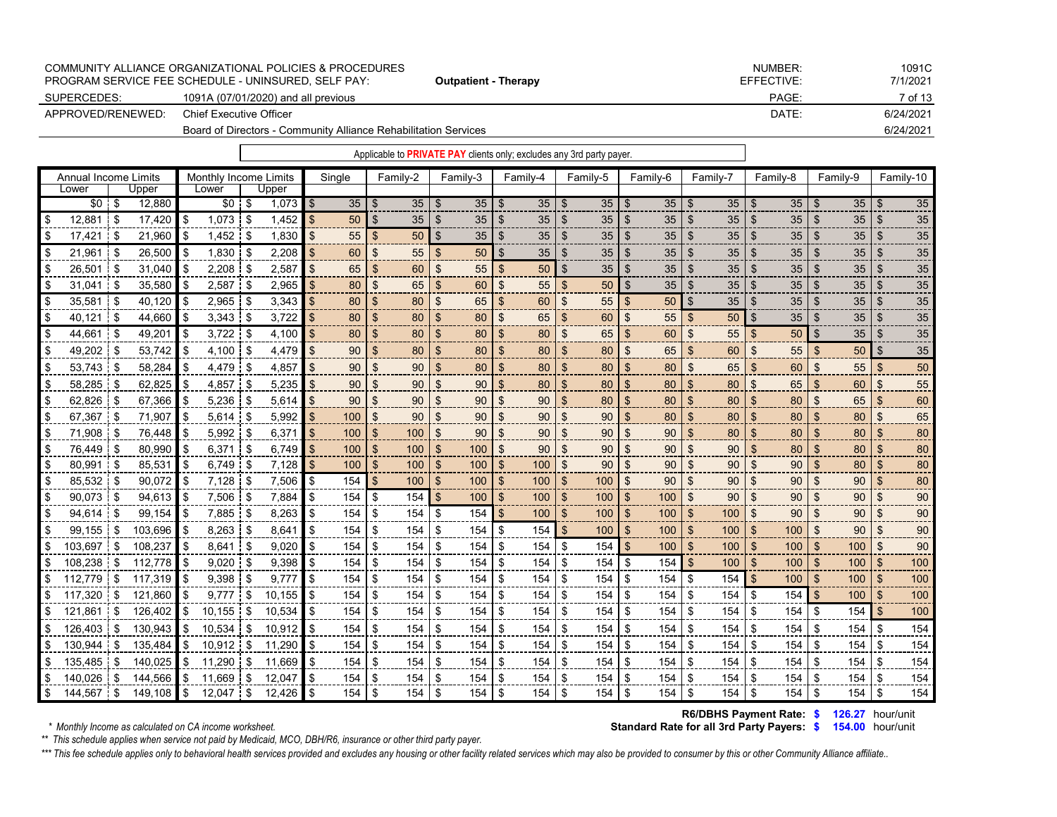|                                                                 | COMMUNITY ALLIANCE ORGANIZATIONAL POLICIES & PROCEDURES |            | NUMBER:  | 1091C     |  |  |  |  |  |
|-----------------------------------------------------------------|---------------------------------------------------------|------------|----------|-----------|--|--|--|--|--|
|                                                                 | PROGRAM SERVICE FEE SCHEDULE - UNINSURED. SELF PAY:     | EFFECTIVE: | 7/1/2021 |           |  |  |  |  |  |
| SUPERCEDES:                                                     | 1091A (07/01/2020) and all previous                     |            | PAGE:    | 7 of 13   |  |  |  |  |  |
| APPROVED/RENEWED:                                               | Chief Executive Officer                                 |            | DATE:    | 6/24/2021 |  |  |  |  |  |
| Board of Directors - Community Alliance Rehabilitation Services |                                                         |            |          |           |  |  |  |  |  |

|                      |               |         |                       |              |        |     |                 |                |          |                |                 |                | Applicable to <b>PRIVATE PAY</b> clients only; excludes any 3rd party payer. |                |           |                    |                 |                |                 |                 |           |                           |           |                |                 |
|----------------------|---------------|---------|-----------------------|--------------|--------|-----|-----------------|----------------|----------|----------------|-----------------|----------------|------------------------------------------------------------------------------|----------------|-----------|--------------------|-----------------|----------------|-----------------|-----------------|-----------|---------------------------|-----------|----------------|-----------------|
| Annual Income Limits |               |         | Monthly Income Limits |              |        |     | Single          |                | Family-2 |                | Family-3        |                | Family-4                                                                     |                | Family-5  |                    | Family-6        |                | Family-7        |                 | Family-8  |                           | Family-9  |                | Family-10       |
| Lower                |               | Upper   | Lower                 |              | Upper  |     |                 |                |          |                |                 |                |                                                                              |                |           |                    |                 |                |                 |                 |           |                           |           |                |                 |
| $$0$ \$              |               | 12,880  | $$0$ \$               |              | 1,073  | \$  |                 |                | 35       | -\$            | 35 <sub>1</sub> | $\mathfrak{S}$ | $35$   \$                                                                    |                | $35$   \$ |                    | $35$   \$       |                | 35 <sup>5</sup> | $\mathsf{I}$ \$ | $35$   \$ |                           | $35$   \$ |                | $\overline{35}$ |
| 12,881               | l \$          | 17,420  | \$<br>1,073           | -\$          | 1,452  |     | 50 <sup>°</sup> | $\mathfrak{S}$ | 35       | \$             | 35 <sub>2</sub> | \$             | 35                                                                           | $\mathfrak{L}$ | 35        | \$                 | 35 <sup>1</sup> | $\mathfrak{L}$ | 35              | $\mathcal{S}$   | 35        | \$                        | 35        | \$             | 35              |
| \$<br>17,421         | l \$          | 21,960  | \$<br>$1,452$ \$      |              | 1,830  | \$. | 55              | \$             | 50       | <b>S</b>       | 35              | \$             | 35                                                                           | $\mathfrak{L}$ | 35        | \$                 | 35 <sub>2</sub> | \$             | 35              | \$              | 35        | \$                        | 35        | \$             | 35              |
| \$<br>21,961         | $\frac{1}{3}$ | 26.500  | \$<br>1,830           | $\mathsf{S}$ | 2,208  |     | 60              | \$             | 55       | \$             | 50              | \$             | 35                                                                           | \$             | 35        | \$                 | 35 <sub>2</sub> | \$             | 35              |                 | 35        | \$                        | 35        | \$             | 35              |
| \$<br>26,501         | <b>S</b>      | 31,040  | \$<br>$2,208$ \$      |              | 2,587  |     | 65              | \$             | 60       | \$             | 55              | \$             | 50                                                                           | $\mathfrak{S}$ | 35        | \$                 | 35              | \$             | 35              | \$              | 35        | $\mathfrak{s}$            | 35        | $\mathfrak{S}$ | 35              |
| \$<br>31,041         | <b>1</b> \$   | 35,580  | \$<br>2,587           | -\$          | 2,965  |     | 80              | \$             | 65       | $\mathfrak{S}$ | 60              | \$             | 55                                                                           | $\mathfrak{L}$ | 50        | \$                 | 35              | \$             | 35              | \$              | 35        | \$                        | 35        | \$             | 35              |
| \$<br>35,581 \$      |               | 40,120  | \$<br>$2,965$ \$      |              | 3,343  |     | 80              | \$             | 80       | $\mathfrak{S}$ | 65              | \$             | 60                                                                           | $\mathfrak{S}$ | 55        | $\mathbf{\$}$      | $50$ \$         |                | 35              | $\mathfrak{L}$  | 35        | $\mathfrak{S}$            | 35        | \$             | 35              |
| \$<br>40,121 \$      |               | 44,660  | \$<br>$3,343$ \$      |              | 3,722  |     | 80              | \$             | 80       | \$             | 80              | \$             | 65                                                                           | \$             | 60        | \$                 | 55              | \$             | 50              | \$              | 35        | \$                        | 35        | \$             | 35              |
| \$<br>44,661 \$      |               | 49.201  | \$<br>$3.722$ \$      |              | 4,100  |     | 80              | \$             | 80       | \$             | 80              | £.             | 80                                                                           | \$             | 65        | -\$                | 60              | \$             | 55              | \$              | 50        | $\mathfrak{S}$            | 35        | \$             | 35              |
| \$<br>49,202 \$      |               | 53.742  | \$<br>4.100 \$        |              | 4,479  | \$. | 90              | \$             | 80       | \$             | 80              | \$             | 80                                                                           | $\mathfrak{L}$ | 80        | \$                 | 65              | \$             | 60              | \$              | 55        | $\mathfrak{S}$            | 50        | $\mathfrak{S}$ | 35              |
| \$<br>53,743 \$      |               | 58,284  | \$<br>4.479           | -\$          | 4,857  |     | 90              | \$             | 90       | \$             | 80              | \$             | 80                                                                           | \$             | 80        | $\mathfrak{L}$     | 80              | \$             | 65              | \$              | 60        | $\mathfrak{s}$            | 55        | \$             | 50              |
| \$<br>58,285         | \$            | 62,825  | \$<br>$4,857$ \$      |              | 5,235  |     | 90              | \$             | 90       | \$             | 90              | \$             | 80                                                                           | \$             | 80        | $\mathfrak{S}$     | 80              | \$             | 80              | \$              | 65        | \$                        | 60        | $\mathfrak{S}$ | 55              |
| \$<br>62,826 \$      |               | 67,366  | \$<br>$5,236$ \$      |              | 5,614  |     | 90              | \$             | 90       | \$             | 90              | \$             | 90                                                                           | \$             | 80        | $\mathfrak{S}$     | 80              | \$             | 80              |                 | 80        | \$                        | 65        | $\mathfrak{L}$ | 60              |
| \$<br>67,367         | 5             | 71,907  | \$<br>5,614           | \$           | 5,992  |     | 100             | \$             | 90       | $\mathfrak{L}$ | 90              | \$             | 90                                                                           | $\mathfrak{S}$ | 90        | $\mathbf{\hat{s}}$ | 80              | \$             | 80              | $\mathfrak{L}$  | 80        | $\mathfrak{s}$            | 80        | $\mathfrak{S}$ | 65              |
| \$<br>71,908         | -\$           | 76,448  | \$<br>5,992           | \$           | 6,371  |     | 100             | \$             | 100      | \$             | 90              | $\mathfrak{L}$ | 90                                                                           | $\mathfrak{S}$ | 90        | \$                 | 90              | $\mathfrak{L}$ | 80              | $\mathfrak{L}$  | 80        | $\mathfrak{s}$            | 80        | $\mathfrak{S}$ | 80              |
| \$<br>76,449         | -\$           | 80.990  | \$<br>6,371           | $\mathsf{I}$ | 6,749  |     | 100             | \$             | 100      | $\mathbf{\$}$  | 100             | \$             | 90                                                                           | $\mathfrak{L}$ | 90        | $\mathfrak{L}$     | 90 <sup>°</sup> | \$             | 90              | $\mathfrak{L}$  | 80        | $\mathfrak{s}$            | 80        | $\mathfrak{S}$ | 80              |
| \$<br>80,991         | i \$          | 85,531  | \$<br>$6,749$ \$      |              | 7,128  | \$  | 100             | \$             | 100      | \$             | 100             | \$             | 100                                                                          | $\mathfrak{L}$ | 90        | $\mathfrak{F}$     | 90              | \$             | 90              | \$              | 90        | $\boldsymbol{\mathsf{S}}$ | 80        | \$             | 80              |
| \$<br>85,532 \$      |               | 90,072  | \$<br>$7,128$ \$      |              | 7,506  |     | 154             | \$             | 100      | \$             | 100             | ß.             | 100                                                                          | $\mathfrak{S}$ | 100       | \$                 | $90-$           | \$             | 90              |                 | 90        | \$                        | 90        | \$             | 80              |
| \$<br>90,073         | <b>1</b> \$   | 94,613  | \$<br>7,506           | <b>S</b>     | 7,884  | \$  | 154             | \$             | 154      | -\$            | 100             | \$             | 100                                                                          | $\mathfrak{L}$ | 100       | \$                 | 100             | $\mathfrak{L}$ | 90              | $\mathfrak{L}$  | 90        | $\mathfrak{S}$            | 90        | $\mathfrak{S}$ | 90              |
| \$<br>94,614         | \$            | 99,154  | \$<br>7,885           | \$           | 8,263  |     | 154             | \$             | 154      | \$             | 154             | $\mathfrak{s}$ | 100                                                                          | $\mathfrak{L}$ | 100       | \$                 | 100             | \$             | 100             | $\mathfrak{L}$  | 90        | $\mathfrak{L}$            | 90        | $\mathfrak{L}$ | 90              |
| \$<br>99,155         | \$            | 103,696 | \$<br>8,263           | -\$          | 8,641  |     | 154             | \$             | 154      | \$             | 154             | \$             | 154                                                                          | $\mathfrak{L}$ | 100       | $\mathfrak{F}$     | 100             | \$             | 100             | \$              | 100       | \$                        | 90        | $\mathfrak{S}$ | 90              |
| \$<br>103,697        | \$            | 108,237 | \$<br>8,641           | \$           | 9,020  | \$  | 154             | \$             | 154      | \$             | 154             | \$             | 154                                                                          | \$             | 154       | \$                 | 100             | \$             | 100             | \$              | 100       | \$                        | 100       | \$             | 90              |
| \$<br>108,238        | \$            | 112.778 | \$<br>9.020           | -\$          | 9,398  |     | 154             | \$             | 154      | \$             | 154             | \$             | 154                                                                          | \$             | 154       | \$                 | 154             | \$             | 100             | \$.             | 100       | $\mathfrak{S}$            | 100       | \$             | 100             |
| \$<br>112,779        | - \$          | 117,319 | \$<br>9,398           | $1$ \$       | 9,777  | \$  | 154             | \$             | 154      | \$             | 154             | \$             | 154                                                                          | \$             | 154       | \$                 | 154             | \$             | 154             | \$.             | 100       | \$                        | 100       | $\mathfrak{L}$ | 100             |
| \$<br>117,320        | -\$           | 121,860 | \$<br>9,777           | \$           | 10,155 | \$. | 154             | \$             | 154      | -\$            | 154             | \$             | 154                                                                          | \$             | 154       | \$                 | 154             | -\$            | 154             | \$              | 154       | $\sqrt{3}$                | 100       | \$             | 100             |
| \$<br>121,861        | \$            | 126,402 | \$<br>$10,155$ \$     |              | 10,534 | \$  | 154             | \$             | 154      | \$             | 154             | \$             | 154                                                                          | \$             | 154       | \$                 | 154             | -\$            | 154             | \$              | 154       | \$                        | 154       | \$             | 100             |
| \$<br>126,403        | \$            | 130,943 | \$<br>10,534          | \$           | 10,912 | \$  | 154             | \$             | 154      | \$             | 154             | \$             | 154                                                                          | \$             | 154       | \$                 | 154             | -\$            | 154             | \$              | 154       | \$                        | 154       | \$             | 154             |
| \$<br>130,944        | \$            | 135,484 | \$<br>10,912          | <b>S</b>     | 11,290 | \$  | 154             | \$             | 154      | \$             | 154             | \$             | 154                                                                          | \$             | 154       | \$                 | 154             | -\$            | 154             | \$              | 154       | \$                        | 154       | \$             | 154             |
| \$<br>135,485        | \$            | 140,025 | \$<br>11,290          | \$           | 11,669 |     | 154             | \$             | 154      | \$             | 154             | \$             | 154                                                                          | \$             | 154       | \$                 | 154             | -\$            | 154             | \$              | 154       | \$                        | 154       | \$             | 154             |
| \$<br>140,026        | \$            | 144.566 | \$<br>11.669          | \$           | 12.047 |     | 154             | \$             | 154      | \$             | 154             | \$             | 154                                                                          | \$             | 154       | \$                 | 154             | -\$            | 154             | \$              | 154       | \$                        | 154       | \$             | 154             |
| \$<br>144,567        | l \$          | 149.108 | \$<br>$12,047$ \$     |              | 12.426 | \$  | 154             | \$             | 154      | \$             | 154             | \$             | 154                                                                          | \$             | 154       | \$                 | 154             | -\$            | 154             | - \$            | 154       | \$                        | 154       | -\$            | 154             |
|                      |               |         |                       |              |        |     |                 |                |          |                |                 |                |                                                                              |                |           |                    |                 |                |                 |                 |           |                           |           |                |                 |

**\$ 126.27** hour/unit  **R6/DBHS Payment Rate:**

*\*\* This schedule applies when service not paid by Medicaid, MCO, DBH/R6, insurance or other third party payer.*

\*\*\* This fee schedule applies only to behavioral health services provided and excludes any housing or other facility related services which may also be provided to consumer by this or other Community Alliance affiliate..

## **Standard Rate for all 3rd Party Payers: \$ 154.00 hour/unit**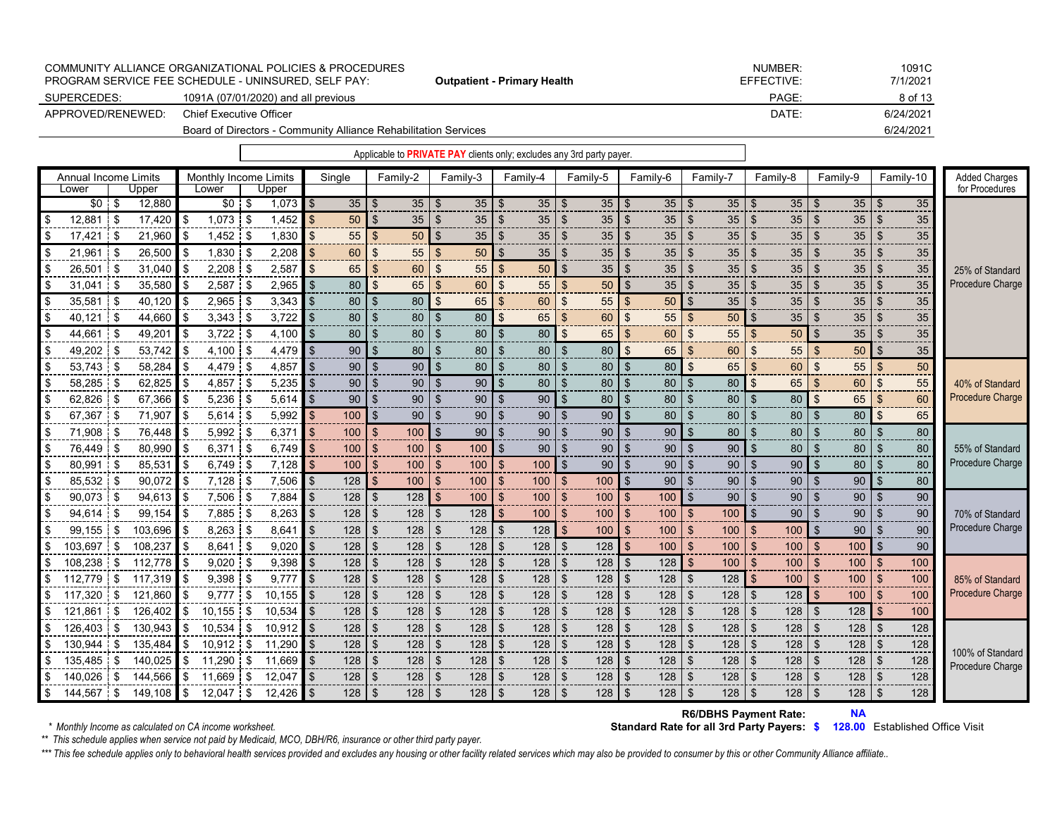|                   | COMMUNITY ALLIANCE ORGANIZATIONAL POLICIES & PROCEDURES<br>PROGRAM SERVICE FEE SCHEDULE - UNINSURED. SELF PAY: | <b>Outpatient - Primary Health</b> | NUMBER:<br>EFFECTIVE: | 1091C<br>7/1/2021 |
|-------------------|----------------------------------------------------------------------------------------------------------------|------------------------------------|-----------------------|-------------------|
| SUPERCEDES:       | 1091A (07/01/2020) and all previous                                                                            |                                    | PAGE:                 | 8 of 13           |
| APPROVED/RENEWED: | <b>Chief Executive Officer</b>                                                                                 |                                    | DATE:                 | 6/24/2021         |
|                   | Board of Directors - Community Alliance Rehabilitation Services                                                |                                    | 6/24/2021             |                   |
|                   |                                                                                                                |                                    |                       |                   |

Single Family-2 Family-3 Family-4 Family-5 Family-6 Family-7 Family-8 Family-9 Family-10 Added Charges Lower Upper Lower Upper for Procedures \$0 \$ 12,880 \$0 \$ 1,073 \$ 35 \$ 35 \$ 35 \$ 35 \$ 35 \$ 35 \$ 35 \$ 35 \$ 35 \$ 35 \$ 12,881 |\$ 17,420 |\$ 1,073 |\$ 1,452 |<mark>\$ 50 |</mark>\$ 35 |\$ 35 |\$ 35 |\$ 35 |\$ 35 |\$ 35 |\$ 35 |\$ 35 |\$ \$ 17,421!\$ 21,960 |\$ 1,452!\$ 1,830 ||\$ 55 ||\$ 50 ||\$ 35 ||\$ 35 ||\$ 35 ||\$ 35 ||\$ 35 ||\$ 35 ||\$ 35 ||\$ 35 | Annual Income Limits Monthly Income Limits<br>
Lower | Upper Lower | Upper

\$ 21,961 |\$ 26,500 |\$ 1,830 |\$ 2,208 <mark>|\$ 60</mark> |\$ 55 |\$ 50 |\$ 35 |\$ 35 |\$ 35 |\$ 35 |\$ 35 |\$ 35 |\$ 35 \$ 26,501 |\$ 31,040 |\$ 2,208 |\$ 2,587 |<mark>\$ 65 |\$ 60</mark> |\$ 55 |\$ 35 |\$ 35 |\$ 35 |\$ 35 |\$ 35 |\$ 35 |\$ \$ 31,041 |\$ 35,580 |\$ 2,587 |\$ 2,965 |\$ 80 |\$ 65 |\$ 60 |\$ 55 |\$ 50 |\$ 35 |\$ 35 |\$ 35 |\$ 35 |\$ 35 \$ 35,581 |\$ 40,120 |\$ 2,965 |\$ 3,343 |\$ 80 |\$ 80 |\$ 65 |\$ 60 |\$ 55 |\$ 50 |\$ 35 |\$ 35 |\$ 35 |\$ 35 \$ 40,121 |\$ 44,660 |\$ 3,343 |\$ 3,722 |\$ 80 |\$ 80 |\$ 80 |\$ 65 |<mark>\$ 60</mark> |\$ 55 |\$ 50 |\$ 35 |\$ 35 |\$ 35 \$ 44,661 i\$ 49,201 |\$ 3,722 i\$ 4,100 |\$ 80 |\$ 80 |\$ 80 |\$ 80 |\$ 65 |<mark>\$ 60</mark> |\$ 55 |<mark>\$ 50 |\$ 35</mark> |\$ 35 \$ 49,202 |\$ 53,742 |\$ 4,100 |\$ 4,479 |\$ 90 |\$ 80 |\$ 80 |\$ 80 |\$ 65 |\$ 60 |\$ 55 |\$ 50 |\$ 35 \$ 53,743 ¦\$ 58,284 |\$ 4,479 |\$ 4,857 ||\$ 90 |\$ 90 ||\$ 80 |\$ 80 |\$ 80 ||\$ 80 ||\$ 65 ||\$ 55 ||\$ 50 | \$ 58,285 \$ 62,825 \$ 4,857 \$ 5,235 \$ 90 \$ 90 \$ 90 \$ 80 \$ 80 \$ 80 \$ 80 \$ 65 \$ 60 \$ 55 \$ 62,826 |\$ 67,366 |\$ 5,236 |\$ 5,614 |\$ 90 |\$ 90 |\$ 90 |\$ 90 |\$ 80 |\$ 80 |\$ 80 |\$ 65 |\$ 60 \$ 67,367 \$ 71,907 \$ 5,614 \$ 5,992 \$ 100 \$ 90 \$ 90 \$ 90 \$ 90 \$ 80 \$ 80 \$ 80 \$ 80 \$ 65 \$ 71,908!\$ 76,448【\$ 5,992!\$ 6,371【\$ 100】\$ 100】\$ 90 \$ 90 \$ 90 \$ 90】\$ 80】\$ 80 \$ 80 \$ 80 \$ 76,449 ¦\$ 80,990 |\$ 6,371 ¦\$ 6,749 <mark>|\$</mark> 100 |\$ 100 |\$ 100 |\$ 90 |\$ 90 |\$ 90 |\$ 90 |\$ 80 |\$ 80 |\$ 80 |\$ \$ 80,991|\$ 85,531|\$ 6,749|\$ 7,128|<mark>\$ 100|\$ 100|\$ 100|\$ 100|\$</mark> 90|\$ 90|\$ 90|\$ 80|\$ 80|\$ 80 \$ 85,532 ∣\$ 90,072 ∥\$ 7,128 ∣\$ 7,506 ∥\$ 128 ∥\$ 100 |\$ 100 |\$ 100 |\$ 100 |\$ 90 |\$ 90 |\$ 90 |\$ 80 \$ 90,073 |\$ 94,613 |\$ 7,506 |\$ 7,884 |\$ 128 |\$ 128 |\$ 100 |\$ 100 |\$ 100 |\$ 100 |\$ 90 |\$ 90 |\$ 90 |\$ 90 \$ 94,614 i\$ 99,154 |\$ 7,885 i\$ 8,263 |\$ 128 |\$ 128 |\$ 128 |\$ 100 |\$ 100 |\$ 100 |\$ 90 |\$ 90 |\$ 90 |\$ 90 \$ 99,155 j\$ 103,696 ∥\$ 8,263 j\$ 8,641 ∥\$ 128 |\$ 128 |\$ 128 |\$ 128 |\$ 100 |\$ 100 |\$ 100 |\$ 100 |\$ 90 |\$ 90 \$ 103,697 \$ 108,237 |\$ 8,641 \$ 9,020 |\$ 128 |\$ 128 |\$ 128 |\$ 128 |\$ 128 |\$ 100 |\$ 100 |\$ 100 |\$ 90 \$ 108,238 \$ 112,778 \$ 9,020 \$ 9,398 \$ 128 \$ 128 | \$ 128 | \$ 128 | \$ 128 | \$ 100 | \$ 100 | \$ 100 | \$ 100 | \$ 100 \$ 112,779 |\$ 117,319 |\$ 9,398 |\$ 9,777 |\$ 128 |\$ 128 |\$ 128 |\$ 128 |\$ 128 |\$ 128 |\$ 100 |\$ 100 |\$ 100 |\$ 100 \$ 117,320 |\$ 121,860 |\$ 9,777 |\$ 10,155 |\$ 128 |\$ 128 |\$ 128 |\$ 128 |\$ 128 |\$ 128 |\$ 128 |\$ 100 |\$ 100 |\$ 100 \$ 121,861 \$ 126,402 |\$ 10,155 |\$ 10,534 |\$ 128 |\$ 128 |\$ 128 |\$ 128 |\$ 128 |\$ 128 |\$ 128 |\$ 128 |\$ 100 \$ 126,403 |\$ 130,943 |\$ 10,534 |\$ 10,912 |\$ 128 |\$ 128 |\$ 128 |\$ 128 |\$ 128 |\$ 128 |\$ 128 |\$ 128 |\$ 128 |\$ 128 \$ 130,944 |\$ 135,484 |\$ 10,912 |\$ 11,290 |\$ 128 |\$ 128 |\$ 128 |\$ 128 |\$ 128 |\$ 128 |\$ 128 |\$ 128 |\$ 128 |\$ 128 \$ 135,485|\$ 140,025|\$ 11,290|\$ 11,669|\$ 128|\$ 128|\$ 128|\$ 128|\$ 128|\$ 128|\$ 128|\$ 128|\$ 128|\$ 128 \$ 140,026 \$ 144,566 \$ 11,669 \$ 12,047 \$ 128 \$ 128 \$ 128 \$ 128 \$ 128 \$ 128 \$ 128 \$ 128 \$ 128 \$ 128 \$ 128 \$ 144,567 \$\$ 149,108 \$ 12,047 \$ 12,426 \$ 128 \$ 128 \$ 128 \$ 128 \$ 128 \$ 128 \$ 128 \$ 128 \$ 128 \$ 128 \$ 128 55% of Standard Procedure Charge 70% of Standard Procedure Charge 85% of Standard Procedure Charge 100% of Standard Procedure Charge 25% of Standard Procedure Charge 40% of Standard Procedure Charge

*\* Monthly Income as calculated on CA income worksheet.* **<b>Standard Rate for all 3rd Party Payers:**  $$$ 

```
NA
 R6/DBHS Payment Rate:
```
**128.00** Established Office Visit

*\*\* This schedule applies when service not paid by Medicaid, MCO, DBH/R6, insurance or other third party payer.*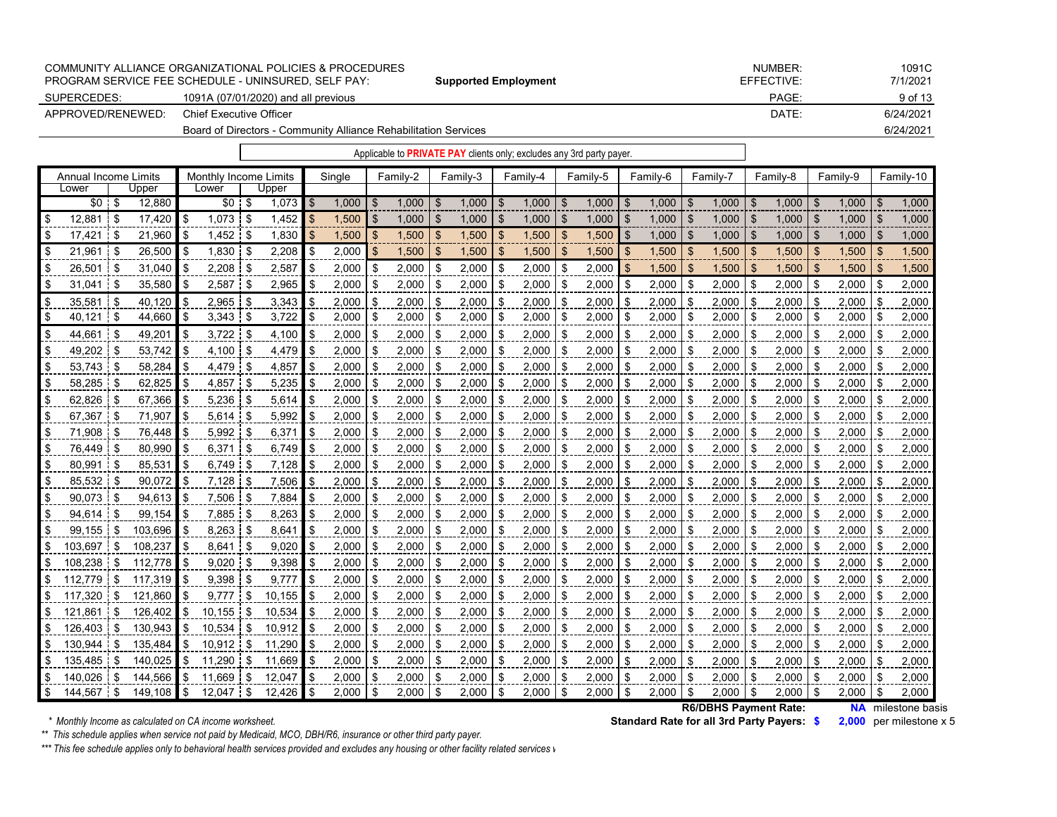|                   | COMMUNITY ALLIANCE ORGANIZATIONAL POLICIES & PROCEDURES<br>PROGRAM SERVICE FEE SCHEDULE - UNINSURED. SELF PAY: | <b>Supported Employment</b> | NUMBER:<br>EFFECTIVE: | 1091C<br>7/1/2021 |
|-------------------|----------------------------------------------------------------------------------------------------------------|-----------------------------|-----------------------|-------------------|
| SUPERCEDES:       | 1091A (07/01/2020) and all previous                                                                            |                             | PAGE:                 | 9 of 13           |
| APPROVED/RENEWED: | Chief Executive Officer                                                                                        |                             | DATE:                 | 6/24/2021         |
|                   | 6/24/2021                                                                                                      |                             |                       |                   |

| Applicable to <b>PRIVATE PAY</b> clients only; excludes any 3rd party payer. |
|------------------------------------------------------------------------------|
|                                                                              |

|      | Annual Income Limits |      |         |     | Monthly Income Limits |      |        |     | Single |    | Familv-2 |      | Family-3     |     | Family-4 |      | Family-5 |                | Family-6 |      | Family-7 |      | Family-8 |      | Family-9 |     | Family-10 |
|------|----------------------|------|---------|-----|-----------------------|------|--------|-----|--------|----|----------|------|--------------|-----|----------|------|----------|----------------|----------|------|----------|------|----------|------|----------|-----|-----------|
|      | Lower                |      | Upper   |     | Lower                 |      | Upper  |     |        |    |          |      |              |     |          |      |          |                |          |      |          |      |          |      |          |     |           |
|      | \$0 <sub>1</sub>     | - \$ | 12,880  |     | \$0 <sub>1</sub>      | - \$ | 1,073  | -\$ | 1.000  | \$ | 1.000    | -S   | $1.000$   \$ |     | 1.000    | - \$ | 1.000    | \$.            | 1.000    | - \$ | 1.000    | -\$  | 1.000    | -96  | 1.000    | \$  | 1.000     |
| -\$  | 12.881               | -S   | 17.420  | \$  | 1.073                 | -\$  | 1,452  |     | 1,500  | \$ | 1.000    | \$   | 1.000        | .\$ | 1.000    | ٩.   | 1.000    | \$             | 1.000    | \$   | 1.000    | \$.  | 1.000    |      | 1.000    |     | 1,000     |
| -\$  | 17.421               |      | 21,960  | \$  | 1,452                 | -\$  | 1,830  | \$  | 1,500  | -S | 1,500    | ß.   | 1.500        | -S  | 1.500    | .S   | 1,500    | \$             | 1,000    | -S   | 1.000    | \$.  | 1.000    | ß.   | 1.000    | \$. | 1,000     |
| \$   | 21.961               | £.   | 26,500  | \$  | 1,830                 | -\$  | 2,208  | \$  | 2,000  | \$ | 1,500    | \$   | 1,500        | \$  | 1,500    | -\$  | 1,500    | $\mathfrak{L}$ | 1,500    | - \$ | 1,500    | \$.  | 1,500    | \$   | 1,500    | \$. | 1,500     |
| \$   | 26.501               | .ዋ   | 31.040  | \$  | 2,208                 | - \$ | 2,587  | \$  | 2.000  | \$ | 2.000    | \$   | 2.000        | -\$ | 2,000    | \$.  | 2,000    | \$.            | 1,500    | \$   | 1,500    | \$   | 1,500    |      | 1.500    |     | 1,500     |
| \$   | 31.041               | - \$ | 35.580  | \$. | 2,587                 | -\$  | 2,965  | \$  | 2,000  | \$ | 2,000    | \$   | 2,000        | £.  | 2,000    | \$.  | 2,000    | \$             | 2,000    | -\$  | 2,000    | -\$  | 2,000    | \$   | 2,000    | -S  | 2,000     |
| \$   | 35,581               | - \$ | 40,120  | \$  | $2,965$ \$            |      | 3,343  | \$  | 2,000  | \$ | 2,000    | \$   | 2,000        | ß.  | 2,000    | - \$ | 2,000    | \$             | 2,000    | \$   | 2,000    | \$   | 2,000    | - \$ | 2,000    | S   | 2,000     |
| \$   | 40.121               | -\$  | 44,660  | -\$ | $3,343$ \$            |      | 3,722  | \$  | 2,000  | \$ | 2,000    | - \$ | 2,000        | \$  | 2,000    |      | 2,000    | \$             | 2,000    | -\$  | 2,000    | - \$ | 2,000    |      | 2,000    |     | 2,000     |
| \$   | 44,661               | -S   | 49,201  | \$  | 3,722                 | i \$ | 4,100  | \$  | 2,000  | \$ | 2,000    | \$   | 2,000        |     | 2,000    | £.   | 2,000    | \$             | 2,000    | \$   | 2,000    | \$   | 2,000    | -S   | 2,000    | \$  | 2,000     |
| \$   | 49,202               | -S   | 53,742  | -\$ | 4,100                 | - \$ | 4,479  | S   | 2,000  | \$ | 2,000    | \$   | 2,000        | £.  | 2,000    | - \$ | 2,000    | ß.             | 2,000    | -\$  | 2,000    | \$   | 2,000    | -S   | 2,000    | S   | 2,000     |
| \$   | 53,743               |      | 58,284  | \$  | 4,479                 | -\$  | 4,857  | \$. | 2,000  | \$ | 2,000    | \$   | 2,000        | £.  | 2,000    | \$   | 2,000    | \$             | 2,000    | -\$  | 2,000    | \$   | 2,000    |      | 2,000    |     | 2,000     |
| \$   | 58,285               |      | 62,825  | -\$ | 4,857                 | -\$  | 5,235  | \$  | 2,000  | \$ | 2,000    | -\$  | 2,000        | \$. | 2,000    | -\$  | 2,000    | \$             | 2,000    | -\$  | 2,000    | \$.  | 2,000    | £.   | 2,000    | \$  | 2,000     |
| -\$  | 62,826               | £.   | 67,366  | -\$ | 5,236                 | \$   | 5,614  | \$  | 2,000  | \$ | 2,000    | \$   | 2,000        | \$. | 2,000    | -\$  | 2,000    |                | 2,000    | \$   | 2,000    | \$   | 2,000    | \$   | 2,000    | \$  | 2,000     |
| \$   | 67.367               | 9.   | 71,907  | \$  | 5.614                 | -\$  | 5,992  |     | 2.000  | \$ | 2.000    | \$   | 2.000        |     | 2.000    | \$   | 2.000    | \$             | 2,000    | -\$  | 2.000    | \$   | 2.000    | \$   | 2,000    | \$  | 2,000     |
| \$   | 71,908               |      | 76,448  | -\$ | 5,992                 | 9.   | 6,371  |     | 2,000  | \$ | 2,000    | £.   | 2,000        |     | 2,000    | - \$ | 2,000    |                | 2,000    | -\$  | 2,000    | -\$  | 2,000    | £.   | 2,000    | \$. | 2,000     |
| \$   | 76.449               |      | 80.990  | \$  | 6.371                 | \$   | 6,749  | \$  | 2,000  | \$ | 2,000    | \$   | 2,000        | £.  | 2.000    | \$   | 2,000    | ß.             | 2,000    | \$   | 2,000    |      | 2,000    | £.   | 2,000    | \$  | 2,000     |
| \$   | 80.991               | - 3  | 85,531  | \$  | 6.749                 | -\$  | 7.128  | \$  | 2,000  | \$ | 2.000    | \$   | 2.000        | S   | 2,000    | -\$  | 2,000    | \$             | 2,000    | -\$  | 2.000    | \$   | 2,000    | -\$  | 2,000    | \$. | 2,000     |
| \$   | 85.532               |      | 90,072  | \$  | $7,128$ \$            |      | 7,506  |     | 2.000  | \$ | 2.000    | \$   | 2,000        | \$  | 2,000    |      | 2,000    | \$             | 2,000    | \$   | 2,000    | \$   | 2,000    |      | 2,000    |     | 2,000     |
| \$   | 90,073               | \$   | 94,613  | \$  | 7.506                 | -\$  | 7,884  | \$  | 2,000  | \$ | 2.000    | \$   | 2,000        | S   | 2,000    | -\$  | 2,000    | \$             | 2,000    | \$   | 2,000    | \$   | 2,000    | \$   | 2,000    | \$  | 2,000     |
| \$   | 94.614               | £.   | 99.154  | \$  | 7.885                 | -\$  | 8,263  | \$  | 2.000  | \$ | 2.000    | \$   | 2,000        | \$  | 2,000    | -\$  | 2,000    | \$             | 2,000    | \$   | 2,000    | \$   | 2.000    | \$   | 2,000    | \$  | 2,000     |
| \$   | 99.155               | - \$ | 103.696 | -S  | 8,263                 | -\$  | 8,641  |     | 2,000  | \$ | 2,000    | \$   | 2,000        |     | 2,000    | -\$  | 2,000    | \$             | 2,000    | -\$  | 2,000    | \$   | 2,000    | \$   | 2,000    | \$  | 2,000     |
|      | 103.697              | \$   | 108.237 | -\$ | 8.641                 | -9   | 9.020  |     | 2.000  | \$ | 2.000    | -\$  | 2.000        | \$  | 2.000    | -\$  | 2,000    |                | 2,000    | -\$  | 2.000    |      | 2.000    |      | 2.000    |     | 2,000     |
|      | 108.238              | S    | 112,778 | -S  | 9,020                 | \$   | 9,398  | \$  | 2,000  | \$ | 2,000    | \$   | 2,000        | £.  | 2,000    | \$   | 2,000    | ß.             | 2,000    | -\$  | 2,000    | £.   | 2,000    | S    | 2,000    | \$  | 2,000     |
|      | 112.779              | \$   | 117,319 | \$  | 9.398                 | -\$  | 9.777  | S   | 2,000  | \$ | 2,000    | \$   | 2,000        |     | 2,000    | -\$  | 2,000    | \$             | 2,000    | -\$  | 2,000    | \$   | 2,000    | \$   | 2,000    | \$  | 2,000     |
|      | 117.320              | .T   | 121.860 | \$  | 9.777                 | \$   | 10,155 |     | 2.000  | \$ | 2.000    | £.   | 2,000        |     | 2.000    |      | 2,000    |                | 2,000    | -\$  | 2,000    |      | 2,000    |      | 2.000    |     | 2,000     |
| \$   | 121.861              | \$   | 126.402 | \$  | 10.155                | \$   | 10.534 | \$  | 2,000  | \$ | 2,000    | \$   | 2,000        | £.  | 2,000    | -\$  | 2,000    | \$             | 2,000    | -\$  | 2,000    | \$   | 2,000    | \$   | 2,000    | \$  | 2,000     |
|      | 126.403              | £.   | 130,943 | \$  | 10.534                | \$   | 10.912 | \$. | 2,000  | \$ | 2.000    | \$   | 2,000        |     | 2,000    | -\$  | 2,000    |                | 2,000    | -\$  | 2,000    | £.   | 2,000    | \$   | 2,000    | \$  | 2,000     |
|      | 130.944              | £.   | 135.484 | \$  | 10.912                | \$   | 11,290 |     | 2,000  | \$ | 2,000    | £.   | 2,000        |     | 2,000    |      | 2,000    | \$             | 2,000    | -\$  | 2,000    | \$   | 2,000    | £.   | 2,000    | \$  | 2,000     |
|      | 135.485              | - \$ | 140.025 | \$  | 11.290                | -\$  | 11,669 | \$  | 2,000  | \$ | 2,000    | \$   | 2,000        | ß.  | 2,000    | - \$ | 2,000    | \$             | 2,000    | -\$  | 2,000    | \$   | 2,000    | £.   | 2,000    | \$  | 2,000     |
|      | 140.026              | .S   | 144,566 | \$  | 11.669                | \$   | 12,047 |     | 2,000  | ደ  | 2.000    | Я.   | 2,000        |     | 2,000    |      | 2,000    |                | 2,000    | \$   | 2,000    |      | 2,000    |      | 2,000    |     | 2,000     |
| l \$ | 144.567              | \$   | 149.108 | \$  | 12.047                | \$   | 12.426 | \$  | 2.000  | \$ | 2.000    | \$   | 2.000        | \$  | 2.000    | \$   | 2.000    | \$             | 2.000    | \$   | 2.000    | \$   | 2.000    | -\$  | 2.000    | \$  | 2.000     |

**Standard Rate for all 3rd Party Payers: \$2,000** per milestone x 5  **R6/DBHS Payment Rate:**

**NA** milestone basis

*\*\* This schedule applies when service not paid by Medicaid, MCO, DBH/R6, insurance or other third party payer.*

*\*\*\* This fee schedule applies only to behavioral health services provided and excludes any housing or other facility related services w*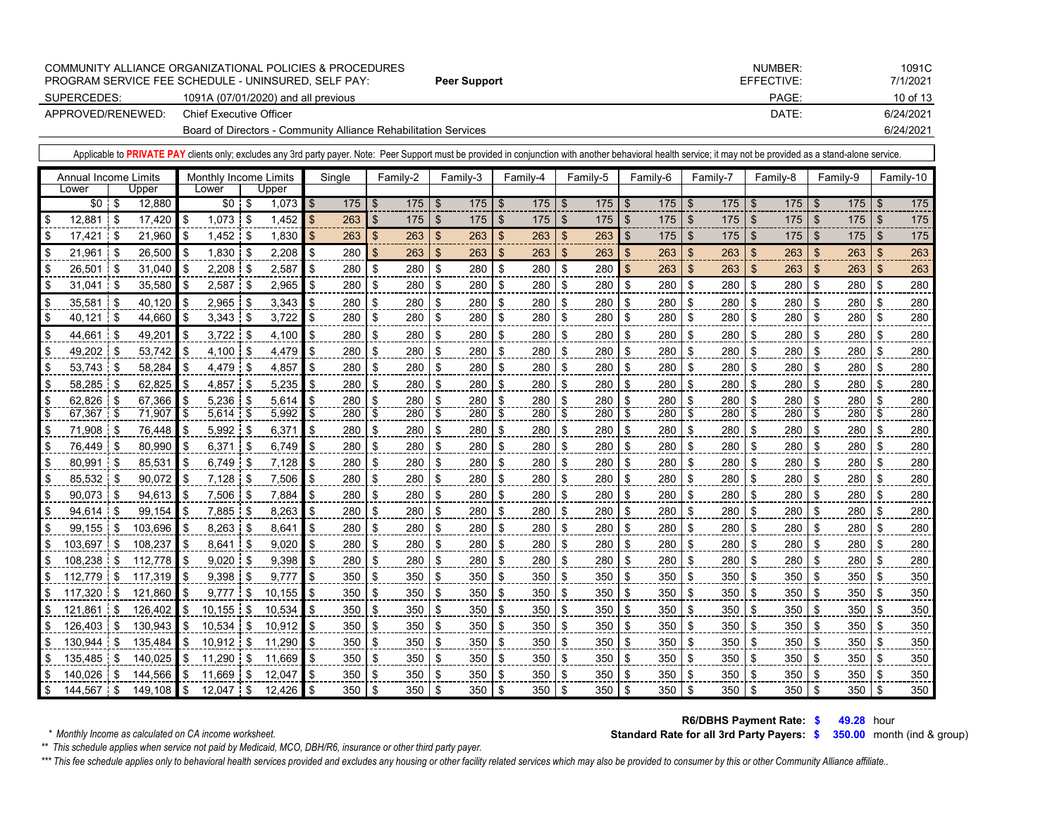|                   | COMMUNITY ALLIANCE ORGANIZATIONAL POLICIES & PROCEDURES<br>PROGRAM SERVICE FEE SCHEDULE - UNINSURED. SELF PAY: | Peer Support | NUMBER:<br>EFFECTIVE: | 1091C<br>7/1/2021 |
|-------------------|----------------------------------------------------------------------------------------------------------------|--------------|-----------------------|-------------------|
| SUPERCEDES:       | 1091A (07/01/2020) and all previous                                                                            |              | PAGE:                 | 10 of 13          |
| APPROVED/RENEWED: | Chief Executive Officer                                                                                        |              | DATE:                 | 6/24/2021         |
|                   | Board of Directors - Community Alliance Rehabilitation Services                                                |              | 6/24/2021             |                   |

|                             |    | Applicable to PRIVATE PAY clients only; excludes any 3rd party payer. Note: Peer Support must be provided in conjunction with another behavioral health service; it may not be provided as a stand-alone service. |                    |                       |      |              |      |        |                |          |                |          |                |          |                |          |                |          |                           |          |                           |                  |                |          |     |           |
|-----------------------------|----|-------------------------------------------------------------------------------------------------------------------------------------------------------------------------------------------------------------------|--------------------|-----------------------|------|--------------|------|--------|----------------|----------|----------------|----------|----------------|----------|----------------|----------|----------------|----------|---------------------------|----------|---------------------------|------------------|----------------|----------|-----|-----------|
| <b>Annual Income Limits</b> |    |                                                                                                                                                                                                                   |                    | Monthly Income Limits |      |              |      | Single |                | Family-2 |                | Family-3 |                | Family-4 |                | Family-5 |                | Family-6 |                           | Family-7 |                           | Family-8         |                | Family-9 |     | Family-10 |
| Lower                       |    | Upper                                                                                                                                                                                                             |                    | Lower                 |      | Upper        |      |        |                |          |                |          |                |          |                |          |                |          |                           |          |                           |                  |                |          |     |           |
| $$0 \tS$                    |    | 12,880                                                                                                                                                                                                            |                    | $$0 \tS$              |      | $1,073$ \$   |      | 175    | $\mathfrak{L}$ | 175      | l \$           | 175S     |                | 175      | \$             | 175      | $\mathfrak{L}$ | 175      | $\mathfrak{S}$            | 175      | \$                        | $175$ \$         |                | 175      | -\$ | 175       |
| \$<br>12,881                | \$ | 17,420                                                                                                                                                                                                            | l \$               | $1,073$ \$            |      | $1,452$   \$ |      | 263    | $\mathfrak{S}$ | 175      | $\sqrt[6]{3}$  | 175      | \$             | 175      | $\mathfrak{S}$ | 175      | $\mathfrak{S}$ | 175      | \$                        | 175      | \$                        | 175              | $\mathsf{\$}$  | 175      | \$  | 175       |
| \$<br>17,421                | S  | 21,960                                                                                                                                                                                                            | \$                 | $1,452$ \$            |      | 1,830        |      | 263    | \$             | 263      | $\mathfrak{F}$ | 263      | $\sqrt[6]{3}$  | 263      | \$             | 263      | $\mathfrak{S}$ | 175      | \$                        | 175      | \$                        | 175              | \$             | 175      | \$  | 175       |
| \$<br>21,961                | S  | 26,500                                                                                                                                                                                                            | l \$               | $1,830$ \$            |      | 2,208        | \$   | 280    | \$             | 263      | $\mathfrak{S}$ | 263      | $\mathfrak{L}$ | 263      | $\mathfrak{L}$ | 263      | $\mathfrak{L}$ | 263      | $\boldsymbol{\mathsf{S}}$ | 263      | $\mathfrak{S}$            | 263              | $\mathfrak{s}$ | 263      | -\$ | 263       |
| \$<br>26,501                | \$ | 31,040                                                                                                                                                                                                            | <b>S</b>           | 2,208                 | \$   | 2,587        | \$   | 280    | \$             | 280      | \$             | 280      | \$             | 280      | \$             | 280      | $\mathfrak{S}$ | 263      | \$                        | 263      | $\boldsymbol{\mathsf{s}}$ | 263              | $\mathfrak{s}$ | 263      | \$  | 263       |
| \$<br>31,041                | £  | 35,580                                                                                                                                                                                                            | \$                 | 2,587                 | \$   | 2,965        | \$   | 280    | \$             | 280      | \$             | 280      | \$             | 280      | \$             | 280      | \$             | 280      | \$                        | 280      | \$                        | 280              | \$             | 280      | \$  | 280       |
| \$<br>35,581                | \$ | 40,120                                                                                                                                                                                                            | <b>S</b>           | $2,965$ \$            |      | 3,343        |      | 280    | \$             | 280      | \$             | 280      | \$             | 280      | \$             | 280      | \$             | 280      | \$                        | 280      | \$                        | 280              | \$             | 280      | \$  | 280       |
| \$<br>40,121                | \$ | 44,660                                                                                                                                                                                                            | \$                 | $3,343$ \$            |      | 3,722        |      | 280    | \$             | 280      | \$             | 280      | \$             | 280      | \$             | 280      | \$             | 280      | \$                        | 280      | -\$                       | 280              | \$             | 280      | \$  | 280       |
| \$<br>44,661                | S  | 49,201                                                                                                                                                                                                            | <b>S</b>           | $3,722$ \$            |      | 4,100        |      | 280    | \$             | 280      | \$             | 280      | \$             | 280      | \$             | 280      | \$             | 280      | \$                        | 280      | \$                        | 280              | \$             | 280      | \$  | 280       |
| \$<br>49,202                | £. | 53,742                                                                                                                                                                                                            | <b>S</b>           | 4,100                 | - \$ | 4,479        |      | 280    | \$             | 280      | \$             | 280      | \$             | 280      | \$             | 280      | \$             | 280      | \$                        | 280      | \$                        | 280              | \$             | 280      | \$  | 280       |
| \$<br>53,743                | \$ | 58,284                                                                                                                                                                                                            | \$                 | 4,479 \$              |      | 4,857        | \$   | 280    | \$             | 280      | \$             | 280      | \$             | 280      | \$             | 280      | \$             | 280      | \$                        | 280      | \$                        | 280              | \$             | 280      | \$  | 280       |
| \$<br>58,285                |    | 62,825                                                                                                                                                                                                            | <b>\$</b>          | 4,857                 | \$   | 5,235        | \$   | 280    | \$             | 280      | \$             | 280      | \$             | 280      | \$             | 280      | \$             | 280      | \$                        | 280      | \$                        | 280              | \$             | 280      | \$  | 280       |
| \$<br>62,826                |    | 67,366                                                                                                                                                                                                            | <b>S</b>           | $5,236$ \$            |      | 5,614        | \$.  | 280    | \$             | 280      | \$             | 280      | \$             | 280      | \$             | 280      | \$             | 280      | \$                        | 280      | \$                        | 280              | \$             | 280      | \$  | 280       |
| \$<br>67,367                |    | 71,907                                                                                                                                                                                                            | l \$               | $5,614$ \$            |      | 5,992        |      | 280    | \$             | 280      | \$             | 280      | \$             | 280      | \$             | 280      | \$             | 280      | \$                        | 280      | \$                        | 280              | \$             | 280      | \$  | 280       |
| \$<br>71,908                | S  | 76,448                                                                                                                                                                                                            | l \$               | $5,992$ \$            |      | 6,371        |      | 280    | \$             | 280      | \$             | 280      | \$             | 280      | \$             | 280      | \$             | 280      | \$                        | 280      | \$                        | 280              | \$             | 280      | \$  | 280       |
| \$<br>76,449                | ደ  | 80,990                                                                                                                                                                                                            | -\$                | 6,371                 | \$   | 6,749        |      | 280    | \$             | 280      | \$             | 280      | \$             | 280      | \$             | 280      | \$             | 280      | \$                        | 280      | \$                        | 280              | \$             | 280      | \$  | 280       |
| \$<br>80,991                | \$ | 85,531                                                                                                                                                                                                            | <b>\$</b>          | $6,749$ \$            |      | 7,128        |      | 280    | \$             | 280      | \$             | 280      | \$             | 280      | \$             | 280      | \$             | 280      | \$                        | 280      | \$                        | 280              | \$             | 280      | \$  | 280       |
| \$<br>85,532                |    | 90,072                                                                                                                                                                                                            | <b>S</b>           | 7,128                 | -\$  | 7,506        |      | 280    | \$             | 280      | \$             | 280      | \$             | 280      | \$             | 280      | \$             | 280      | \$                        | 280      | \$                        | 280              | \$             | 280      | \$  | 280       |
| \$<br>90,073                | \$ | $94,613$ \$                                                                                                                                                                                                       |                    | $7,506$ \$            |      | 7,884        | ደ    | 280    | \$             | 280      | \$             | 280      | $\frac{1}{2}$  | 280      | \$             | 280      | \$             | 280      | \$                        | 280      | -\$                       | 280              | \$             | 280      | \$  | 280       |
| \$<br>94,614                | \$ | 99,154                                                                                                                                                                                                            | -\$                | 7,885                 | \$   | 8,263        |      | 280    | \$             | 280      | \$             | 280      | \$             | 280      | \$             | 280      | \$             | 280      | \$                        | 280      | \$                        | 280              | \$             | 280      | \$  | 280       |
| \$<br>99,155                | \$ | 103,696                                                                                                                                                                                                           | ا \$               | 8,263                 | \$   | 8,641        |      | 280    | \$             | 280      | \$             | 280      | \$             | 280      | \$             | 280      | \$             | 280      | \$                        | 280      | \$                        | 280              | \$             | 280      | -\$ | 280       |
| \$<br>103,697               | \$ | 108,237                                                                                                                                                                                                           | <b>\$</b>          | 8,641                 | - \$ | 9,020        |      | 280    | \$             | 280      | \$             | 280      | \$             | 280      | \$             | 280      | \$             | 280      | \$                        | 280      | \$                        | 280              | \$             | 280      | -\$ | 280       |
| \$<br>108,238               | £  | 112,778                                                                                                                                                                                                           | l \$               | $9,020$ \$            |      | 9,398        |      | 280    | \$             | 280      | \$             | 280      | \$             | 280      | \$             | 280      | \$             | 280      | \$                        | 280      | -\$                       | 280              | ß.             | 280      | \$  | 280       |
| \$<br>112,779               | \$ | 117,319                                                                                                                                                                                                           | l \$               | 9,398                 | -\$  | 9,777        | \$.  | 350    | \$             | 350      | \$             | 350      | \$             | 350      | \$             | 350      | \$             | 350      | \$                        | 350      | -\$                       | 350              | \$             | 350      | \$  | 350       |
| 117,320                     | \$ | 121,860                                                                                                                                                                                                           | \$                 | 9.777                 | \$   | 10.155       |      | 350    | \$             | 350      | \$             | 350      | \$             | 350      | \$             | 350      | \$             | 350      | \$                        | 350      | \$                        | 350              | \$             | 350      | \$  | 350       |
| 121,861                     | \$ | 126,402                                                                                                                                                                                                           | l \$               | 10,155                | \$   | 10.534       |      | 350    | \$             | 350      | \$             | 350      | \$             | 350      | \$             | 350      | \$             | 350      | \$                        | 350      | -\$                       | 350              | \$             | 350      | \$  | 350       |
| \$<br>126.403               | \$ | 130.943                                                                                                                                                                                                           | l \$               | 10.534                | \$   | 10.912       |      | 350    | \$             | 350      | \$             | 350      | \$             | 350      | \$             | 350      | \$             | 350      | \$                        | 350      | \$                        | 350              | \$             | 350      | -\$ | 350       |
| \$<br>130.944               | \$ | 135,484                                                                                                                                                                                                           | $\mathbf{\hat{s}}$ | 10.912                | \$   | 11,290       |      | 350    | \$             | 350      | \$             | 350      | \$             | 350      | \$             | 350      | \$             | 350      | \$                        | 350      | -\$                       | 350              | \$             | 350      | \$  | 350       |
| \$<br>135,485               | \$ | 140,025                                                                                                                                                                                                           | <b>S</b>           | 11,290                | \$   | 11,669       |      | 350    | \$             | 350      | \$             | 350      | \$             | 350      | \$             | 350      | \$             | 350      | \$                        | 350      | \$                        | 350              | \$             | 350      | \$  | 350       |
| 140,026                     | \$ | 144,566                                                                                                                                                                                                           | \$                 | 11,669                | \$   | 12,047       |      | 350    | \$             | 350      | \$             | 350      | \$             | 350      | \$             | 350      | \$             | 350      | \$                        | 350      | \$                        | 350              | \$             | 350      | -\$ | 350       |
| \$<br>144.567               | \$ | $149,108$ \$                                                                                                                                                                                                      |                    | $12.047$ \$           |      | 12.426       | l \$ | 350    | \$             | 350      | \$             | 350      | <b>S</b>       | 350      | \$             | 350      | -\$            | 350      | \$                        | 350      | -\$                       | 350 <sup>8</sup> |                | 350      | -\$ | 350       |

**\$ 49.28** hour  **R6/DBHS Payment Rate:**

**Standard Rate for all 3rd Party Payers: \$ 350.00** month (ind & group)

*\*\* This schedule applies when service not paid by Medicaid, MCO, DBH/R6, insurance or other third party payer.*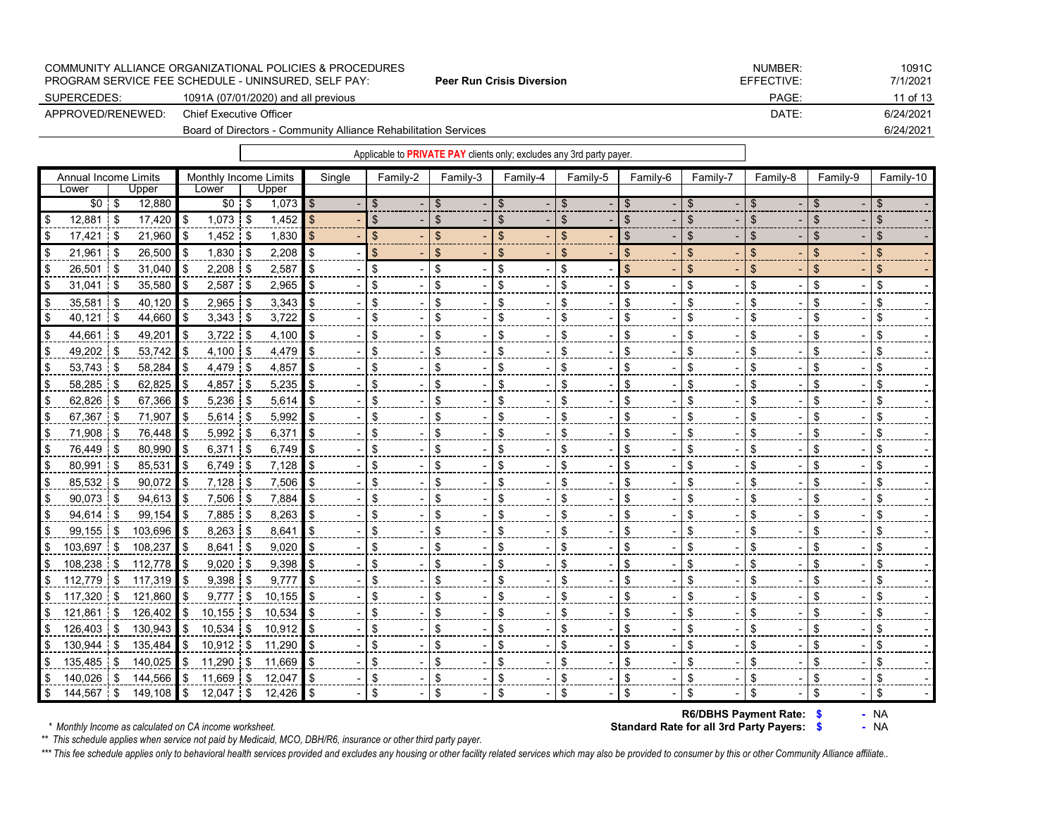|                   | COMMUNITY ALLIANCE ORGANIZATIONAL POLICIES & PROCEDURES<br>PROGRAM SERVICE FEE SCHEDULE - UNINSURED. SELF PAY: | <b>Peer Run Crisis Diversion</b> | NUMBER:<br>EFFECTIVE: | 1091C<br>7/1/2021 |
|-------------------|----------------------------------------------------------------------------------------------------------------|----------------------------------|-----------------------|-------------------|
| SUPERCEDES:       | 1091A (07/01/2020) and all previous                                                                            |                                  | PAGE:                 | 11 of 13          |
| APPROVED/RENEWED: | Chief Executive Officer                                                                                        |                                  | DATE:                 | 6/24/2021         |
|                   | Board of Directors - Community Alliance Rehabilitation Services                                                |                                  |                       | 6/24/2021         |
|                   |                                                                                                                |                                  |                       |                   |

| Annual Income Limits             | Monthly Income Limits          | Single | Family-2 | Family-3       | Family-4 | Family-5 | Family-6 | Family-7 | Family-8 | Family-9 | Family-10 |
|----------------------------------|--------------------------------|--------|----------|----------------|----------|----------|----------|----------|----------|----------|-----------|
| Upper<br>Lower                   | Upper<br>Lower                 |        |          |                |          |          |          |          |          |          |           |
| $$0 \t$$<br>12,880               | $$0$ \$<br>$1,073$ \$          |        | \$       | \$             | \$       | \$       | \$       | \$       | \$       | \$       | \$        |
| $12,881$ \$<br>$17,420$ \$       | $1,073$ \$<br>1,452            | \$     | \$       | \$             | \$       | \$       | \$       | \$       | \$       | \$       | \$        |
| 17,421<br>21,960<br>l \$         | $1,452$ \$<br>1,830<br>l \$    | \$.    | \$       | $\mathfrak{L}$ | \$       | \$       | \$       | \$       | ß.       | ß.       | \$        |
| 26,500<br>21,961<br>l S          | $1,830$ \$<br>2,208<br>l \$    |        | \$       | \$             | \$       | \$       | \$       | \$       | \$       | \$       | \$        |
| 26,501 \$<br>31,040              | $2,208$ \$<br>2,587<br>l \$    |        | \$       | \$             | \$       | \$       | \$       | \$       | \$       | £.       | \$        |
| 31,041<br>35,580<br>l S          | $2,587$ \$<br>2,965<br>l \$    |        | \$       | \$             | \$       | \$       | \$       | \$       | \$       | \$       | \$        |
| 40,120<br>35,581<br>- \$         | $2,965$ \$<br>3,343<br>ا \$    |        | \$       | \$             | \$       | \$       | \$       | \$       | \$       |          | \$        |
| $40,121$ \$<br>44,660            | $3,343$ \$<br>l \$<br>3,722    |        | \$       | \$             | \$       | \$       | \$       | \$       | \$       | \$       | \$        |
| 49,201<br>44,661 \$              | $3,722$ \$<br>4,100<br>ا \$    | \$     | \$       | \$             | \$       | \$       | \$       | \$       | \$       | \$       | \$        |
| 49,202 \$<br>53,742              | 4,479<br>4,100 \$<br>l \$      |        | \$       | \$             | \$       | \$       | \$       | S        | \$       |          | \$        |
| 53,743 \$<br>58,284              | 4,479 \$<br>l \$<br>4,857      |        | \$       | \$             | \$       | \$       | \$       | \$       | \$       | \$       | \$        |
| 62,825<br>58,285 \$              | $4,857$ \$<br>l \$<br>5,235    |        | \$       | \$             | \$       | \$       | \$       | \$       | S        | S        | \$        |
| 62,826 \$<br>67,366              | $5,236$ \$<br>5,614<br>ا \$    | ድ      | \$       | \$             | \$       | \$       | \$       | \$       | \$       | \$       | \$        |
| 67,367<br>71,907<br>- \$         | $5,614$ \$<br>5,992<br>l \$    |        | \$       | \$             | \$       | \$       | \$       | \$       | \$       | \$       | \$        |
| 71,908<br>76,448<br>- \$         | 5,992 \$<br>6,371<br>ا \$      |        | \$       | \$             | \$       | \$       | \$       | \$       | \$       | ß.       | \$        |
| 76,449 \$<br>80,990              | $6,371$ \$<br>6,749<br>ا \$    | \$     | \$       | \$             | \$       | \$       | \$       | \$       | \$       | \$       | \$        |
| 80,991<br>85,531<br>1 S          | $6,749$ \$<br>7,128            |        | \$       | \$             | \$       | \$       | \$       | \$       | \$       |          | \$        |
| 90,072<br>85,532<br>- \$         | $7,128$ \$<br>l \$<br>7,506    | \$     | \$       | \$             | \$       | \$       | \$       | \$       | \$       | \$       | \$        |
| 90,073 \$<br>94,613              | $7,506$ \$<br>l \$<br>7,884    |        | \$       | \$             | \$       | \$       | \$       | \$       | \$       | S        | \$        |
| 94,614 \$<br>99,154              | 7,885 \$<br>8,263<br>ا \$      | \$.    | \$       | \$             | \$       | \$       | \$       | \$       | \$       | \$       | \$        |
| 103,696<br>$99,155$ \$           | $8,263$ \$<br>8,641<br>ا \$    |        | \$       | \$             | \$       | \$       | \$       | \$       | \$       | \$       | \$        |
| 103,697 \$<br>108,237            | $8,641$ \ \$<br>9,020<br>l \$  |        | \$       | \$             | \$       | \$       | \$       | \$       | \$       | \$       | \$        |
| 112,778<br>108,238 \$            | $9,020$ \$<br>9,398<br>l \$    | \$     | \$       | \$             | \$       | \$       | \$       | \$       | \$       | \$       | \$        |
| 117,319<br>112,779<br>\$         | 9,398<br>9,777<br>-\$<br>£.    |        | \$       | \$             | \$       |          | \$       | \$       | \$       |          | \$        |
| 117,320<br>121,860<br>\$         | $9,777$ \$<br>ا \$<br>10,155   | \$     | \$       | \$             | \$       | \$       | \$       | \$       | \$       | \$       | \$        |
| 126,402<br>121,861<br>i \$<br>\$ | $10,155$ \$<br>ا \$<br>10,534  |        | \$       | \$             | \$       | \$       | \$       | \$       | \$       | \$       | \$        |
| 126,403<br>130,943<br>\$<br>\$   | 10,534 \$<br>10,912<br>ا \$    | \$     | \$       | \$             | \$       | \$       | \$       | \$       | \$       | \$       | \$        |
| 135,484<br>130,944<br>\$         | $10,912$ \$<br>11,290<br>l \$  |        | \$       | \$             | \$       | \$       | \$       | \$       | \$       | \$       | \$        |
| 135,485 \$<br>140,025            | 11,290 \$<br>11,669            |        | \$       | \$             | \$       | \$       | \$       | \$       | \$       | ß.       | \$        |
| 144,566<br>140,026<br>\$         | 11,669<br>12,047<br>l \$<br>\$ | £.     | \$       | \$             | \$       | \$       | \$       | \$       | \$       | \$       | \$        |
| 144,567 \$<br>$149,108$ \$<br>\$ | $12,047$ \$<br>12,426          | l \$   | \$       | \$             | \$       | \$       | \$       | \$       | \$       | \$       | \$        |

 $*$  Monthly Income as calculated on CA income worksheet.

**R6/DBHS Payment Rate: \$** - NA<br>**Standard Rate for all 3rd Party Payers: \$** - NA **\$ -** NA  **R6/DBHS Payment Rate:**

*\*\* This schedule applies when service not paid by Medicaid, MCO, DBH/R6, insurance or other third party payer.*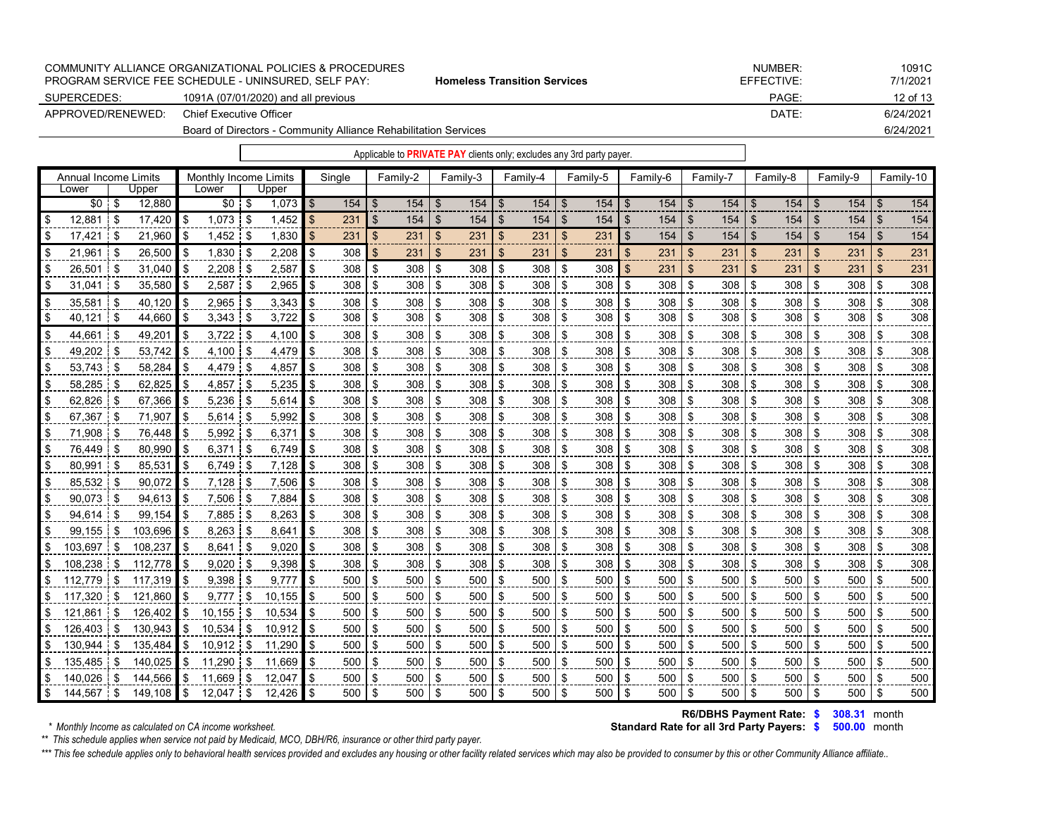|                   | COMMUNITY ALLIANCE ORGANIZATIONAL POLICIES & PROCEDURES<br><b>PROGRAM SERVICE FEE SCHEDULE - UNINSURED. SELF PAY:</b> | <b>Homeless Transition Services</b> | NUMBER:<br>EFFECTIVE: | 1091C<br>7/1/2021 |
|-------------------|-----------------------------------------------------------------------------------------------------------------------|-------------------------------------|-----------------------|-------------------|
|                   |                                                                                                                       |                                     |                       |                   |
| SUPERCEDES:       | 1091A (07/01/2020) and all previous                                                                                   |                                     | PAGE:                 | 12 of 13          |
| APPROVED/RENEWED: | Chief Executive Officer                                                                                               |                                     | DATE:                 | 6/24/2021         |
|                   |                                                                                                                       | 6/24/2021                           |                       |                   |

|                               |      |            |     |                                |              |                    |        |      | Applicable to PRIVATE PAY clients only; excludes any 3rd party payer. |                |          |     |          |                |          |                |          |    |          |     |          |      |          |                |           |
|-------------------------------|------|------------|-----|--------------------------------|--------------|--------------------|--------|------|-----------------------------------------------------------------------|----------------|----------|-----|----------|----------------|----------|----------------|----------|----|----------|-----|----------|------|----------|----------------|-----------|
| Annual Income Limits<br>Lower |      | Upper      |     | Monthly Income Limits<br>Lower | Upper        |                    | Single |      | Family-2                                                              |                | Family-3 |     | Family-4 |                | Family-5 |                | Family-6 |    | Family-7 |     | Family-8 |      | Family-9 |                | Family-10 |
| $$0$ \ \$                     |      | 12,880     |     | $$0$ \$                        | $1,073$ \$   |                    | 154    | - \$ | $154$ \$                                                              |                |          |     |          |                | $154$ \$ |                |          |    |          |     | 154      | - \$ | 154      | $\mathfrak{L}$ | 154       |
| 12.881                        | \$   | 17.420     | \$  | 1,073                          | \$<br>1,452  | $\mathbf{\hat{s}}$ | 231    | \$   | 154                                                                   | \$             | 154      | \$  | 154      | $\mathfrak{S}$ | 154      | $\mathfrak{F}$ | 154      | \$ | 154      | \$  | 154      | \$   | 154      | $\mathfrak{S}$ | 154       |
| 17,421                        | \$   | 21,960     | \$  | 1,452                          | \$<br>1,830  | \$                 | 231    | \$   | 231                                                                   | $\mathfrak{F}$ | 231      | \$  | 231      | \$             | 231      | $\mathfrak{F}$ | 154      | \$ | 154      | \$  | 154      | \$   | 154      | \$             | 154       |
| 21.961                        | \$   | 26.500     | \$  | 1.830                          | \$<br>2,208  | \$                 | 308    | \$   | 231                                                                   | \$             | 231      | \$  | 231      | \$             | 231      | \$             | 231      | \$ | 231      | \$  | 231      | -\$  | 231      | \$             | 231       |
| 26,501                        | \$   | 31,040     | \$. | 2,208                          | \$<br>2,587  | \$                 | 308    | \$   | 308                                                                   | \$             | 308      | -\$ | 308      | \$             | 308      | $\mathbf{\$}$  | 231      | \$ | 231      | \$  | 231      | \$   | 231      | \$             | 231       |
| 31,041                        | 1\$  | 35,580     | -\$ | 2,587                          | \$<br>2,965  | \$                 | 308    | \$   | 308                                                                   | \$             | 308      | \$  | 308      | \$             | 308      | \$             | 308      | \$ | 308      | \$  | 308      | \$   | 308      | \$             | 308       |
| 35.581                        | l \$ | 40,120     | \$  | 2.965                          | \$<br>3,343  | \$                 | 308    | \$   | 308                                                                   | \$             | 308      | \$  | 308      | \$             | 308      | \$             | 308      | \$ | 308      | \$  | 308      | -\$  | 308      | \$             | 308       |
| 40,121                        | ∣\$  | 44,660     | -\$ | 3,343                          | \$<br>3,722  | \$                 | 308    | -\$  | 308                                                                   | \$             | 308      | \$  | 308      | \$             | 308      | \$             | 308      | \$ | 308      | \$  | 308      | -\$  | 308      | \$             | 308       |
| 44,661                        | \$   | 49,201     |     | 3,722                          | \$<br>4,100  | \$                 | 308    | \$   | 308                                                                   | \$             | 308      | \$  | 308      | \$             | 308      | \$             | 308      | \$ | 308      | \$  | 308      | \$   | 308      | \$             | 308       |
| 49,202                        | \$   | 53,742     |     | 4,100                          | \$<br>4,479  | \$                 | 308    | \$   | 308                                                                   | \$             | 308      | \$  | 308      | \$             | 308      | \$             | 308      | S  | 308      | \$  | 308      | \$   | 308      | \$             | 308       |
| 53,743                        | \$   | 58,284     | \$  | 4,479                          | \$<br>4,857  | \$                 | 308    | \$   | 308                                                                   | \$             | 308      | \$  | 308      | \$             | 308      | \$             | 308      | \$ | 308      | \$  | 308      | \$   | 308      | \$             | 308       |
| 58,285                        | \$   | 62,825     | \$  | 4,857                          | \$<br>5,235  | \$                 | 308    | \$   | 308                                                                   | \$             | 308      | \$  | 308      | \$             | 308      | \$             | 308      | \$ | 308      | \$  | 308      | \$   | 308      | \$             | 308       |
| 62,826                        | \$   | 67,366     |     | 5,236                          | \$<br>5,614  | \$                 | 308    | \$   | 308                                                                   | \$             | 308      | \$  | 308      | \$             | 308      | \$             | 308      | \$ | 308      | \$  | 308      | \$   | 308      | \$             | 308       |
| 67,367                        | \$   | 71,907     |     | 5,614                          | \$<br>5,992  | \$                 | 308    | -\$  | 308                                                                   | \$             | 308      | \$  | 308      | \$             | 308      | \$             | 308      | \$ | 308      | \$  | 308      | -\$  | 308      | \$             | 308       |
| 71,908                        | \$   | 76,448     |     | 5,992                          | \$<br>6,371  | \$                 | 308    | \$   | 308                                                                   | \$             | 308      | -\$ | 308      | \$             | 308      | \$             | 308      | \$ | 308      | \$  | 308      | \$   | 308      | \$             | 308       |
| 76,449                        | \$   | 80,990     | \$  | 6,371                          | \$<br>6,749  | \$                 | 308    | -\$  | 308                                                                   | \$             | 308      | -\$ | 308      | \$             | 308      | \$             | 308      | \$ | 308      | \$  | 308      | \$   | 308      | \$             | 308       |
| 80,991                        | \$   | 85,531     |     | 6,749                          | \$<br>7,128  | \$                 | 308    | \$   | 308                                                                   | \$             | 308      | \$  | 308      | \$             | 308      | \$             | 308      | \$ | 308      | \$  | 308      | \$   | 308      | \$             | 308       |
| 85,532                        | \$   | 90.072     | \$  | 7,128                          | \$<br>7,506  | \$                 | 308    | \$   | 308                                                                   | \$             | 308      | \$  | 308      | \$             | 308      | \$             | 308      | \$ | 308      | \$  | 308      | \$   | 308      | \$             | 308       |
| 90,073                        | \$   | 94,613     | \$  | 7,506                          | \$<br>7,884  | \$                 | 308    | \$   | 308                                                                   | \$             | 308      | \$  | 308      | \$             | 308      | \$             | 308      | \$ | 308      | \$  | 308      | \$   | 308      | \$             | 308       |
| 94,614                        | \$   | 99.154     | \$  | 7,885                          | \$<br>8,263  | \$                 | 308    | \$   | 308                                                                   | \$             | 308      | \$  | 308      | \$             | 308      | \$             | 308      | \$ | 308      | \$  | 308      | \$   | 308      | \$             | 308       |
| 99.155                        | \$   | 103.696    |     | 8.263                          | \$<br>8,641  | \$                 | 308    | \$   | 308                                                                   | \$             | 308      | \$  | 308      | \$             | 308      | \$             | 308      | \$ | 308      | \$  | 308      | \$   | 308      | \$             | 308       |
| 103,697                       | \$   | 108,237    | \$  | 8,641                          | \$<br>9,020  | \$                 | 308    | \$   | 308                                                                   | \$             | 308      | \$  | 308      | \$             | 308      | \$             | 308      | \$ | 308      | \$  | 308      | \$   | 308      | \$             | 308       |
| 108,238                       | \$   | 112,778    | \$  | 9,020                          | \$<br>9,398  | \$                 | 308    | \$   | 308                                                                   | \$             | 308      | \$  | 308      | \$             | 308      | \$             | 308      | \$ | 308      | \$  | 308      | -\$  | 308      | \$             | 308       |
| 112,779                       | \$   | 117,319    |     | 9,398                          | \$<br>9,777  | \$                 | 500    | \$   | 500                                                                   | \$             | 500      | \$  | 500      | \$             | 500      | \$             | 500      | \$ | 500      | \$  | 500      | \$   | 500      | \$             | 500       |
| 117,320                       | \$   | 121,860    | \$  | 9,777                          | \$<br>10,155 | \$                 | 500    | \$   | 500                                                                   | \$             | 500      | \$  | 500      | \$             | 500      | \$             | 500      | \$ | 500      | \$  | 500      | \$   | 500      | \$             | 500       |
| 121,861                       | \$   | 126,402    | \$  | 10,155                         | \$<br>10,534 |                    | 500    | \$   | 500                                                                   | \$             | 500      | \$  | 500      | \$             | 500      | \$             | 500      | \$ | 500      | \$  | 500      | \$   | 500      | \$             | 500       |
| 126,403                       | \$   | 130,943    | \$  | 10,534                         | \$<br>10,912 | \$                 | 500    | \$   | 500                                                                   | \$             | 500      | \$  | 500      | \$             | 500      | \$             | 500      | \$ | 500      | \$  | 500      | \$   | 500      | \$             | 500       |
| 130,944                       | \$   | 135,484    |     | 10,912                         | \$<br>11,290 | \$                 | 500    | -\$  | 500                                                                   | \$             | 500      | \$  | 500      | \$             | 500      | \$             | 500      | \$ | 500      | \$  | 500      | -\$  | 500      | \$             | 500       |
| 135,485                       | \$   | 140,025    | \$  | 11,290                         | \$<br>11,669 | \$                 | 500    | \$   | 500                                                                   | \$             | 500      | \$  | 500      | \$             | 500      | \$             | 500      | \$ | 500      | \$  | 500      | \$   | 500      | \$             | 500       |
| $140.026$ \$                  |      | 144.566 \$ |     | 11.669 l                       | \$<br>12.047 | \$                 | 500    | - \$ | 500 l                                                                 | \$             | $500$ \$ |     | 500      | - \$           | 500      | \$             | 500 \$   |    | 500      | -\$ | 500      | -\$  | 500 l    | <sup>\$</sup>  | 500       |

**R6/DBHS Payment Rate: \$ 308.31 month** 

**Standard Rate for all 3rd Party Payers: \$ 500.00 month** 

*\*\* This schedule applies when service not paid by Medicaid, MCO, DBH/R6, insurance or other third party payer.*

\*\*\* This fee schedule applies only to behavioral health services provided and excludes any housing or other facility related services which may also be provided to consumer by this or other Community Alliance affiliate..

\$ 144,567 |\$ 149,108 |\$ 12,047 |\$ 12,426 |\$ 500 |\$ 500 |\$ 500 |\$ 500 |\$ 500 |\$ 500 |\$ 500 |\$ 500 |\$ 500 |\$ 500